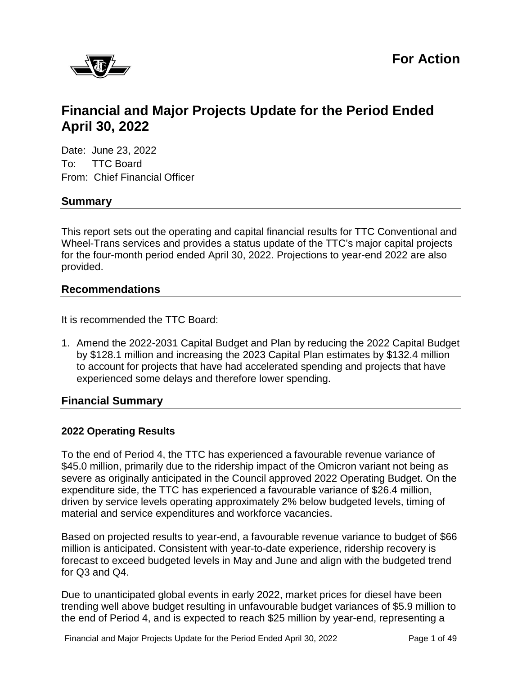

# **Financial and Major Projects Update for the Period Ended April 30, 2022**

Date: June 23, 2022 To: TTC Board From: Chief Financial Officer

# **Summary**

This report sets out the operating and capital financial results for TTC Conventional and Wheel-Trans services and provides a status update of the TTC's major capital projects for the four-month period ended April 30, 2022. Projections to year-end 2022 are also provided.

### **Recommendations**

It is recommended the TTC Board:

1. Amend the 2022-2031 Capital Budget and Plan by reducing the 2022 Capital Budget by \$128.1 million and increasing the 2023 Capital Plan estimates by \$132.4 million to account for projects that have had accelerated spending and projects that have experienced some delays and therefore lower spending.

### **Financial Summary**

### **2022 Operating Results**

To the end of Period 4, the TTC has experienced a favourable revenue variance of \$45.0 million, primarily due to the ridership impact of the Omicron variant not being as severe as originally anticipated in the Council approved 2022 Operating Budget. On the expenditure side, the TTC has experienced a favourable variance of \$26.4 million, driven by service levels operating approximately 2% below budgeted levels, timing of material and service expenditures and workforce vacancies.

Based on projected results to year-end, a favourable revenue variance to budget of \$66 million is anticipated. Consistent with year-to-date experience, ridership recovery is forecast to exceed budgeted levels in May and June and align with the budgeted trend for Q3 and Q4.

Due to unanticipated global events in early 2022, market prices for diesel have been trending well above budget resulting in unfavourable budget variances of \$5.9 million to the end of Period 4, and is expected to reach \$25 million by year-end, representing a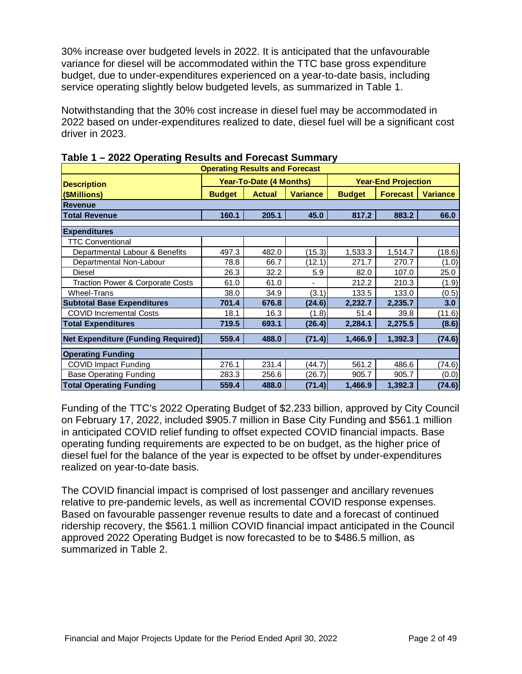30% increase over budgeted levels in 2022. It is anticipated that the unfavourable variance for diesel will be accommodated within the TTC base gross expenditure budget, due to under-expenditures experienced on a year-to-date basis, including service operating slightly below budgeted levels, as summarized in Table 1.

Notwithstanding that the 30% cost increase in diesel fuel may be accommodated in 2022 based on under-expenditures realized to date, diesel fuel will be a significant cost driver in 2023.

| <b>Operating Results and Forecast</b>       |               |                                |                 |                            |                 |                 |  |  |  |  |  |
|---------------------------------------------|---------------|--------------------------------|-----------------|----------------------------|-----------------|-----------------|--|--|--|--|--|
| <b>Description</b>                          |               | <b>Year-To-Date (4 Months)</b> |                 | <b>Year-End Projection</b> |                 |                 |  |  |  |  |  |
| (\$Millions)                                | <b>Budget</b> | <b>Actual</b>                  | <b>Variance</b> | <b>Budget</b>              | <b>Forecast</b> | <b>Variance</b> |  |  |  |  |  |
| <b>Revenue</b>                              |               |                                |                 |                            |                 |                 |  |  |  |  |  |
| <b>Total Revenue</b>                        | 160.1         | 205.1                          | 45.0            | 817.2                      | 883.2           | 66.0            |  |  |  |  |  |
| <b>Expenditures</b>                         |               |                                |                 |                            |                 |                 |  |  |  |  |  |
| <b>TTC Conventional</b>                     |               |                                |                 |                            |                 |                 |  |  |  |  |  |
| Departmental Labour & Benefits              | 497.3         | 482.0                          | (15.3)          | 1,533.3                    | 1,514.7         | (18.6)          |  |  |  |  |  |
| Departmental Non-Labour                     | 78.8          | 66.7                           | (12.1)          | 271.7                      | 270.7           | (1.0)           |  |  |  |  |  |
| <b>Diesel</b>                               | 26.3          | 32.2                           | 5.9             | 82.0                       | 107.0           | 25.0            |  |  |  |  |  |
| <b>Traction Power &amp; Corporate Costs</b> | 61.0          | 61.0                           |                 | 212.2                      | 210.3           | (1.9)           |  |  |  |  |  |
| <b>Wheel-Trans</b>                          | 38.0          | 34.9                           | (3.1)           | 133.5                      | 133.0           | (0.5)           |  |  |  |  |  |
| <b>Subtotal Base Expenditures</b>           | 701.4         | 676.8                          | (24.6)          | 2,232.7                    | 2,235.7         | 3.0             |  |  |  |  |  |
| <b>COVID Incremental Costs</b>              | 18.1          | 16.3                           | (1.8)           | 51.4                       | 39.8            | (11.6)          |  |  |  |  |  |
| <b>Total Expenditures</b>                   | 719.5         | 693.1                          | (26.4)          | 2,284.1                    | 2,275.5         | (8.6)           |  |  |  |  |  |
| <b>Net Expenditure (Funding Required)</b>   | 559.4         | 488.0                          | (71.4)          | 1,466.9                    | 1,392.3         | (74.6)          |  |  |  |  |  |
| <b>Operating Funding</b>                    |               |                                |                 |                            |                 |                 |  |  |  |  |  |
| <b>COVID Impact Funding</b>                 | 276.1         | 231.4                          | (44.7)          | 561.2                      | 486.6           | (74.6)          |  |  |  |  |  |
| <b>Base Operating Funding</b>               | 283.3         | 256.6                          | (26.7)          | 905.7                      | 905.7           | (0.0)           |  |  |  |  |  |
| <b>Total Operating Funding</b>              | 559.4         | 488.0                          | (71.4)          | 1,466.9                    | 1,392.3         | (74.6)          |  |  |  |  |  |

Funding of the TTC's 2022 Operating Budget of \$2.233 billion, approved by City Council on February 17, 2022, included \$905.7 million in Base City Funding and \$561.1 million in anticipated COVID relief funding to offset expected COVID financial impacts. Base operating funding requirements are expected to be on budget, as the higher price of diesel fuel for the balance of the year is expected to be offset by under-expenditures realized on year-to-date basis.

The COVID financial impact is comprised of lost passenger and ancillary revenues relative to pre-pandemic levels, as well as incremental COVID response expenses. Based on favourable passenger revenue results to date and a forecast of continued ridership recovery, the \$561.1 million COVID financial impact anticipated in the Council approved 2022 Operating Budget is now forecasted to be to \$486.5 million, as summarized in Table 2.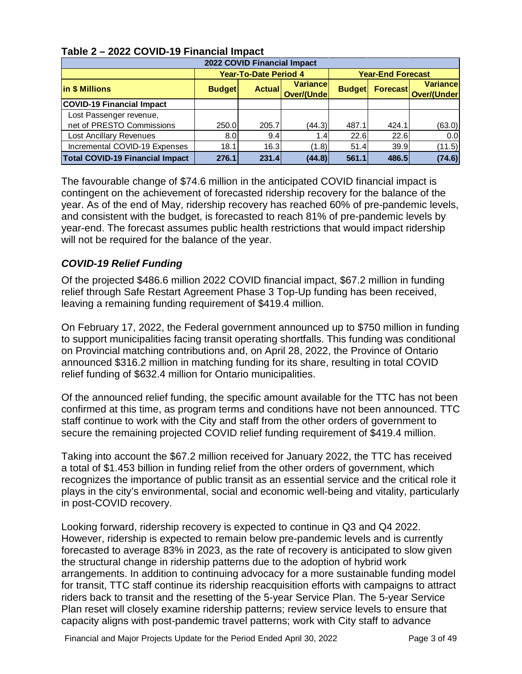| 2022 COVID Financial Impact                                                                    |                  |                              |                                       |                          |       |        |  |  |  |  |  |  |
|------------------------------------------------------------------------------------------------|------------------|------------------------------|---------------------------------------|--------------------------|-------|--------|--|--|--|--|--|--|
|                                                                                                |                  | <b>Year-To-Date Period 4</b> |                                       | <b>Year-End Forecast</b> |       |        |  |  |  |  |  |  |
| in \$ Millions                                                                                 | <b>Budget</b>    | Forecast<br><b>Budget</b>    | <b>Variance</b><br><b>Over/(Under</b> |                          |       |        |  |  |  |  |  |  |
| <b>COVID-19 Financial Impact</b>                                                               |                  |                              |                                       |                          |       |        |  |  |  |  |  |  |
| Lost Passenger revenue,                                                                        |                  |                              |                                       |                          |       |        |  |  |  |  |  |  |
| net of PRESTO Commissions                                                                      | 250.0            | 205.7                        | (44.3)                                | 487.1                    | 424.1 | (63.0) |  |  |  |  |  |  |
| Lost Ancillary Revenues                                                                        | 8.0 <sub>1</sub> | 9.4                          | 1.4                                   | 22.6                     | 22.6  | 0.0    |  |  |  |  |  |  |
| Incremental COVID-19 Expenses                                                                  | 18.1             | 16.3                         | (1.8)                                 | 51.4                     | 39.9  | (11.5) |  |  |  |  |  |  |
| <b>Total COVID-19 Financial Impact</b><br>(74.6)<br>231.4<br>486.5<br>276.1<br>(44.8)<br>561.1 |                  |                              |                                       |                          |       |        |  |  |  |  |  |  |

### **Table 2 – 2022 COVID-19 Financial Impact**

The favourable change of \$74.6 million in the anticipated COVID financial impact is contingent on the achievement of forecasted ridership recovery for the balance of the year. As of the end of May, ridership recovery has reached 60% of pre-pandemic levels, and consistent with the budget, is forecasted to reach 81% of pre-pandemic levels by year-end. The forecast assumes public health restrictions that would impact ridership will not be required for the balance of the year.

# *COVID-19 Relief Funding*

Of the projected \$486.6 million 2022 COVID financial impact, \$67.2 million in funding relief through Safe Restart Agreement Phase 3 Top-Up funding has been received, leaving a remaining funding requirement of \$419.4 million.

On February 17, 2022, the Federal government announced up to \$750 million in funding to support municipalities facing transit operating shortfalls. This funding was conditional on Provincial matching contributions and, on April 28, 2022, the Province of Ontario announced \$316.2 million in matching funding for its share, resulting in total COVID relief funding of \$632.4 million for Ontario municipalities.

Of the announced relief funding, the specific amount available for the TTC has not been confirmed at this time, as program terms and conditions have not been announced. TTC staff continue to work with the City and staff from the other orders of government to secure the remaining projected COVID relief funding requirement of \$419.4 million.

Taking into account the \$67.2 million received for January 2022, the TTC has received a total of \$1.453 billion in funding relief from the other orders of government, which recognizes the importance of public transit as an essential service and the critical role it plays in the city's environmental, social and economic well-being and vitality, particularly in post-COVID recovery.

Looking forward, ridership recovery is expected to continue in Q3 and Q4 2022. However, ridership is expected to remain below pre-pandemic levels and is currently forecasted to average 83% in 2023, as the rate of recovery is anticipated to slow given the structural change in ridership patterns due to the adoption of hybrid work arrangements. In addition to continuing advocacy for a more sustainable funding model for transit, TTC staff continue its ridership reacquisition efforts with campaigns to attract riders back to transit and the resetting of the 5-year Service Plan. The 5-year Service Plan reset will closely examine ridership patterns; review service levels to ensure that capacity aligns with post-pandemic travel patterns; work with City staff to advance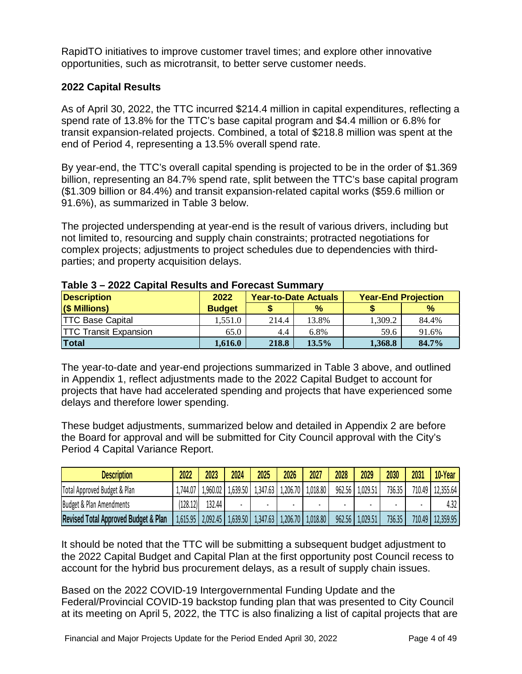RapidTO initiatives to improve customer travel times; and explore other innovative opportunities, such as microtransit, to better serve customer needs.

## **2022 Capital Results**

As of April 30, 2022, the TTC incurred \$214.4 million in capital expenditures, reflecting a spend rate of 13.8% for the TTC's base capital program and \$4.4 million or 6.8% for transit expansion-related projects. Combined, a total of \$218.8 million was spent at the end of Period 4, representing a 13.5% overall spend rate.

By year-end, the TTC's overall capital spending is projected to be in the order of \$1.369 billion, representing an 84.7% spend rate, split between the TTC's base capital program (\$1.309 billion or 84.4%) and transit expansion-related capital works (\$59.6 million or 91.6%), as summarized in Table 3 below.

The projected underspending at year-end is the result of various drivers, including but not limited to, resourcing and supply chain constraints; protracted negotiations for complex projects; adjustments to project schedules due to dependencies with thirdparties; and property acquisition delays.

| <b>Description</b>           | 2022          | <b>Year-to-Date Actuals</b> |       |         | <b>Year-End Projection</b> |
|------------------------------|---------------|-----------------------------|-------|---------|----------------------------|
| $(S$ Millions)               | <b>Budget</b> |                             | $\%$  |         | $\%$                       |
| <b>TTC Base Capital</b>      | 1.551.0       | 214.4                       | 13.8% | 1,309.2 | 84.4%                      |
| <b>TTC Transit Expansion</b> | 65.0          | 4.4                         | 6.8%  | 59.6    | 91.6%                      |
| Total                        | 1,616.0       | 218.8                       | 13.5% | 1,368.8 | 84.7%                      |

#### **Table 3 – 2022 Capital Results and Forecast Summary**

The year-to-date and year-end projections summarized in Table 3 above, and outlined in Appendix 1, reflect adjustments made to the 2022 Capital Budget to account for projects that have had accelerated spending and projects that have experienced some delays and therefore lower spending.

These budget adjustments, summarized below and detailed in Appendix 2 are before the Board for approval and will be submitted for City Council approval with the City's Period 4 Capital Variance Report.

| <b>Description</b>                              | 2022     | 2023    | 2024                  | 2025     | 2026     | 2027     | 2028   | 2029                | 2030   | 2031   | 10-Year   |
|-------------------------------------------------|----------|---------|-----------------------|----------|----------|----------|--------|---------------------|--------|--------|-----------|
| Total Approved Budget & Plan                    | 1,744.07 | .960.02 | 1,639.50              | 1,347.63 | 1,206.70 | 1,018.80 | 962.56 | 1,029.51            | 736.35 | 710.49 | 12,355.64 |
| Budget & Plan Amendments                        | '128.12  | 132.44  |                       |          |          |          |        |                     |        |        | 4.32      |
| <b>Revised Total Approved Budget &amp; Plan</b> | 1,615.95 |         | $2,092.45$   1,639.50 | 1,347.63 | 1,206.70 | 1,018.80 |        | $962.56$   1,029.51 | 736.35 | 710.49 | 12,359.95 |

It should be noted that the TTC will be submitting a subsequent budget adjustment to the 2022 Capital Budget and Capital Plan at the first opportunity post Council recess to account for the hybrid bus procurement delays, as a result of supply chain issues.

Based on the 2022 COVID-19 Intergovernmental Funding Update and the Federal/Provincial COVID-19 backstop funding plan that was presented to City Council at its meeting on April 5, 2022, the TTC is also finalizing a list of capital projects that are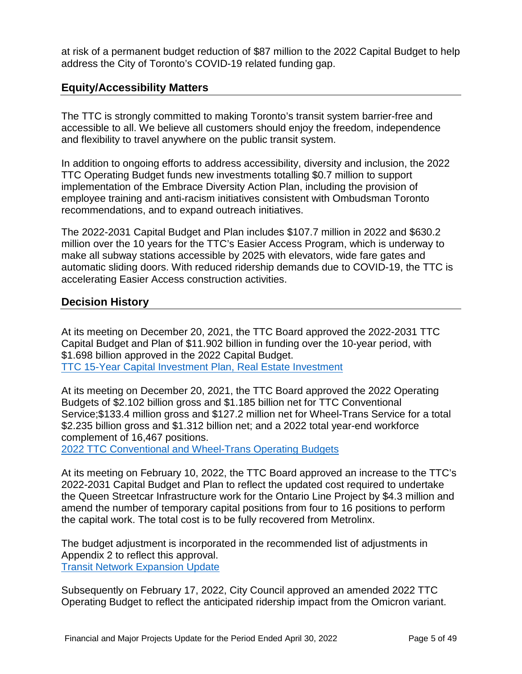at risk of a permanent budget reduction of \$87 million to the 2022 Capital Budget to help address the City of Toronto's COVID-19 related funding gap.

# **Equity/Accessibility Matters**

The TTC is strongly committed to making Toronto's transit system barrier-free and accessible to all. We believe all customers should enjoy the freedom, independence and flexibility to travel anywhere on the public transit system.

In addition to ongoing efforts to address accessibility, diversity and inclusion, the 2022 TTC Operating Budget funds new investments totalling \$0.7 million to support implementation of the Embrace Diversity Action Plan, including the provision of employee training and anti-racism initiatives consistent with Ombudsman Toronto recommendations, and to expand outreach initiatives.

The 2022-2031 Capital Budget and Plan includes \$107.7 million in 2022 and \$630.2 million over the 10 years for the TTC's Easier Access Program, which is underway to make all subway stations accessible by 2025 with elevators, wide fare gates and automatic sliding doors. With reduced ridership demands due to COVID-19, the TTC is accelerating Easier Access construction activities.

# **Decision History**

At its meeting on December 20, 2021, the TTC Board approved the 2022-2031 TTC Capital Budget and Plan of \$11.902 billion in funding over the 10-year period, with \$1.698 billion approved in the 2022 Capital Budget. [TTC 15-Year Capital Investment Plan, Real Estate Investment](https://ttc-cdn.azureedge.net/-/media/Project/TTC/DevProto/Documents/Home/Public-Meetings/Board/2021/Dec-20/Decisions/3TTC15YearCapitalInvestmentPlanRealEstateInvestmentPlanand2.pdf?rev=3101fa99b6d348dca3a61cac968ff6f2&hash=AE8DB06071D207D3070E1F2F709B60B7)

At its meeting on December 20, 2021, the TTC Board approved the 2022 Operating Budgets of \$2.102 billion gross and \$1.185 billion net for TTC Conventional Service;\$133.4 million gross and \$127.2 million net for Wheel-Trans Service for a total \$2.235 billion gross and \$1.312 billion net; and a 2022 total year-end workforce complement of 16,467 positions.

[2022 TTC Conventional and Wheel-Trans Operating Budgets](https://ttc-cdn.azureedge.net/-/media/Project/TTC/DevProto/Documents/Home/Public-Meetings/Board/2021/Dec-20/Decisions/2_2022_TTC_Conventional_and_Wheel-Trans_Operating_Budgets_Decision.pdf?rev=5db94dfe6f0441ebb8997d34058180c6&hash=7DF7B503375902771BAAEF56E15EF25B)

At its meeting on February 10, 2022, the TTC Board approved an increase to the TTC's 2022-2031 Capital Budget and Plan to reflect the updated cost required to undertake the Queen Streetcar Infrastructure work for the Ontario Line Project by \$4.3 million and amend the number of temporary capital positions from four to 16 positions to perform the capital work. The total cost is to be fully recovered from Metrolinx.

The budget adjustment is incorporated in the recommended list of adjustments in Appendix 2 to reflect this approval. [Transit Network Expansion Update](https://ttc-cdn.azureedge.net/-/media/Project/TTC/DevProto/Documents/Home/Public-Meetings/Board/2022/February-10/Decisions/2062_13_Transit_Network_Expansion_Update.pdf?rev=5865f63984cc4610be5b8bca81ba75f8&hash=378E46161FDB0E18C4214FEB1C5B83BA)

Subsequently on February 17, 2022, City Council approved an amended 2022 TTC Operating Budget to reflect the anticipated ridership impact from the Omicron variant.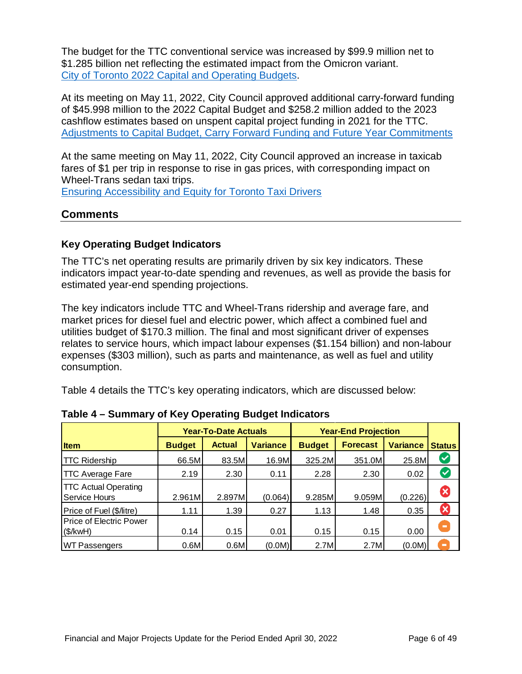The budget for the TTC conventional service was increased by \$99.9 million net to \$1.285 billion net reflecting the estimated impact from the Omicron variant. [City of Toronto 2022 Capital and Operating Budgets.](http://app.toronto.ca/tmmis/viewAgendaItemHistory.do?item=2022.EX30.2)

At its meeting on May 11, 2022, City Council approved additional carry-forward funding of \$45.998 million to the 2022 Capital Budget and \$258.2 million added to the 2023 cashflow estimates based on unspent capital project funding in 2021 for the TTC. [Adjustments to Capital Budget, Carry Forward Funding and Future Year Commitments](http://app.toronto.ca/tmmis/viewAgendaItemHistory.do?item=2022.EX32.9)

At the same meeting on May 11, 2022, City Council approved an increase in taxicab fares of \$1 per trip in response to rise in gas prices, with corresponding impact on Wheel-Trans sedan taxi trips.

[Ensuring Accessibility and Equity for Toronto Taxi Drivers](https://www.toronto.ca/legdocs/mmis/2022/gl/bgrd/backgroundfile-224628.pdf)

# **Comments**

### **Key Operating Budget Indicators**

The TTC's net operating results are primarily driven by six key indicators. These indicators impact year-to-date spending and revenues, as well as provide the basis for estimated year-end spending projections.

The key indicators include TTC and Wheel-Trans ridership and average fare, and market prices for diesel fuel and electric power, which affect a combined fuel and utilities budget of \$170.3 million. The final and most significant driver of expenses relates to service hours, which impact labour expenses (\$1.154 billion) and non-labour expenses (\$303 million), such as parts and maintenance, as well as fuel and utility consumption.

Table 4 details the TTC's key operating indicators, which are discussed below:

|                                              |               | <b>Year-To-Date Actuals</b> |                 | <b>Year-End Projection</b> |                 |                 |                      |
|----------------------------------------------|---------------|-----------------------------|-----------------|----------------------------|-----------------|-----------------|----------------------|
| <b>Item</b>                                  | <b>Budget</b> | <b>Actual</b>               | <b>Variance</b> | <b>Budget</b>              | <b>Forecast</b> | <b>Variance</b> | <b>Status</b>        |
| <b>TTC Ridership</b>                         | 66.5M         | 83.5M                       | 16.9M           | 325.2M                     | 351.0M          | 25.8M           | ✔                    |
| <b>TTC Average Fare</b>                      | 2.19          | 2.30                        | 0.11            | 2.28                       | 2.30            | 0.02            | $\blacktriangledown$ |
| <b>TTC Actual Operating</b><br>Service Hours | 2.961M        | 2.897M                      | (0.064)         | 9.285M                     | 9.059M          | (0.226)         | Ø                    |
| Price of Fuel (\$/litre)                     | 1.11          | 1.39                        | 0.27            | 1.13                       | 1.48            | 0.35            |                      |
| <b>Price of Electric Power</b><br>(\$/kwH)   | 0.14          | 0.15                        | 0.01            | 0.15                       | 0.15            | 0.00            |                      |
| <b>WT Passengers</b>                         | 0.6M          | 0.6M                        | (0.0M)          | 2.7M                       | 2.7M            | (0.0M)          |                      |

|  |  |  |  |  | Table 4 – Summary of Key Operating Budget Indicators |
|--|--|--|--|--|------------------------------------------------------|
|--|--|--|--|--|------------------------------------------------------|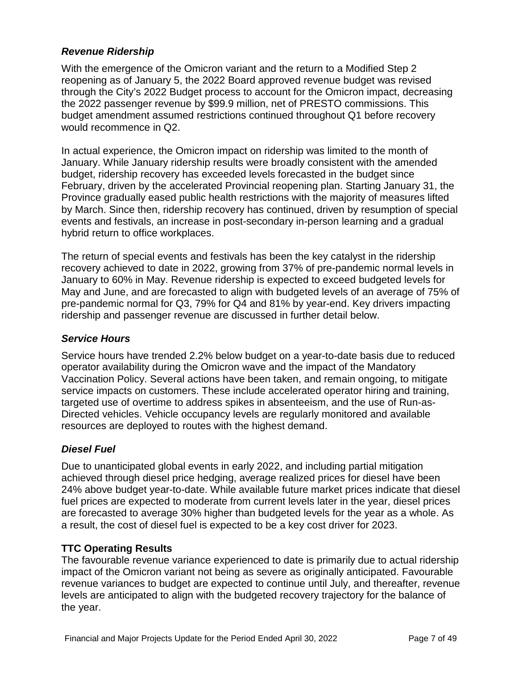### *Revenue Ridership*

With the emergence of the Omicron variant and the return to a Modified Step 2 reopening as of January 5, the 2022 Board approved revenue budget was revised through the City's 2022 Budget process to account for the Omicron impact, decreasing the 2022 passenger revenue by \$99.9 million, net of PRESTO commissions. This budget amendment assumed restrictions continued throughout Q1 before recovery would recommence in Q2.

In actual experience, the Omicron impact on ridership was limited to the month of January. While January ridership results were broadly consistent with the amended budget, ridership recovery has exceeded levels forecasted in the budget since February, driven by the accelerated Provincial reopening plan. Starting January 31, the Province gradually eased public health restrictions with the majority of measures lifted by March. Since then, ridership recovery has continued, driven by resumption of special events and festivals, an increase in post-secondary in-person learning and a gradual hybrid return to office workplaces.

The return of special events and festivals has been the key catalyst in the ridership recovery achieved to date in 2022, growing from 37% of pre-pandemic normal levels in January to 60% in May. Revenue ridership is expected to exceed budgeted levels for May and June, and are forecasted to align with budgeted levels of an average of 75% of pre-pandemic normal for Q3, 79% for Q4 and 81% by year-end. Key drivers impacting ridership and passenger revenue are discussed in further detail below.

### *Service Hours*

Service hours have trended 2.2% below budget on a year-to-date basis due to reduced operator availability during the Omicron wave and the impact of the Mandatory Vaccination Policy. Several actions have been taken, and remain ongoing, to mitigate service impacts on customers. These include accelerated operator hiring and training, targeted use of overtime to address spikes in absenteeism, and the use of Run-as-Directed vehicles. Vehicle occupancy levels are regularly monitored and available resources are deployed to routes with the highest demand.

### *Diesel Fuel*

Due to unanticipated global events in early 2022, and including partial mitigation achieved through diesel price hedging, average realized prices for diesel have been 24% above budget year-to-date. While available future market prices indicate that diesel fuel prices are expected to moderate from current levels later in the year, diesel prices are forecasted to average 30% higher than budgeted levels for the year as a whole. As a result, the cost of diesel fuel is expected to be a key cost driver for 2023.

### **TTC Operating Results**

The favourable revenue variance experienced to date is primarily due to actual ridership impact of the Omicron variant not being as severe as originally anticipated. Favourable revenue variances to budget are expected to continue until July, and thereafter, revenue levels are anticipated to align with the budgeted recovery trajectory for the balance of the year.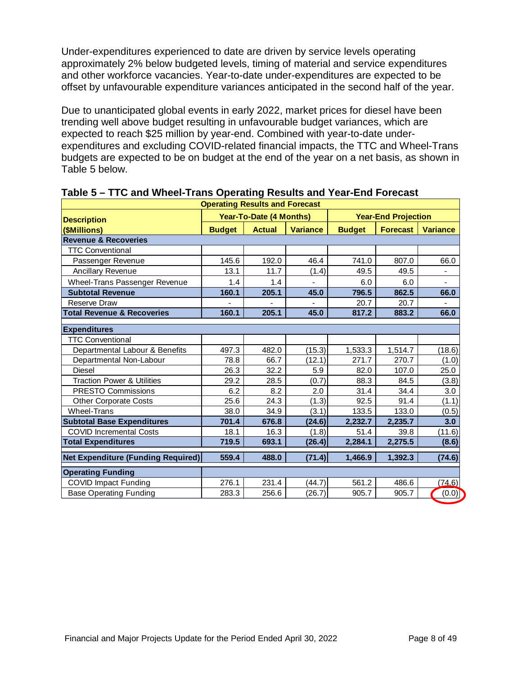Under-expenditures experienced to date are driven by service levels operating approximately 2% below budgeted levels, timing of material and service expenditures and other workforce vacancies. Year-to-date under-expenditures are expected to be offset by unfavourable expenditure variances anticipated in the second half of the year.

Due to unanticipated global events in early 2022, market prices for diesel have been trending well above budget resulting in unfavourable budget variances, which are expected to reach \$25 million by year-end. Combined with year-to-date underexpenditures and excluding COVID-related financial impacts, the TTC and Wheel-Trans budgets are expected to be on budget at the end of the year on a net basis, as shown in Table 5 below.

| <b>Operating Results and Forecast</b>     |               |                                |                 |               |                            |                 |  |  |  |  |  |  |
|-------------------------------------------|---------------|--------------------------------|-----------------|---------------|----------------------------|-----------------|--|--|--|--|--|--|
| <b>Description</b>                        |               | <b>Year-To-Date (4 Months)</b> |                 |               | <b>Year-End Projection</b> |                 |  |  |  |  |  |  |
| (\$Millions)                              | <b>Budget</b> | <b>Actual</b>                  | <b>Variance</b> | <b>Budget</b> | <b>Forecast</b>            | <b>Variance</b> |  |  |  |  |  |  |
| <b>Revenue &amp; Recoveries</b>           |               |                                |                 |               |                            |                 |  |  |  |  |  |  |
| <b>TTC Conventional</b>                   |               |                                |                 |               |                            |                 |  |  |  |  |  |  |
| Passenger Revenue                         | 145.6         | 192.0                          | 46.4            | 741.0         | 807.0                      | 66.0            |  |  |  |  |  |  |
| <b>Ancillary Revenue</b>                  | 13.1          | 11.7                           | (1.4)           | 49.5          | 49.5                       |                 |  |  |  |  |  |  |
| Wheel-Trans Passenger Revenue             | 1.4           | 1.4                            |                 | 6.0           | 6.0                        |                 |  |  |  |  |  |  |
| <b>Subtotal Revenue</b>                   | 160.1         | 205.1                          | 45.0            | 796.5         | 862.5                      | 66.0            |  |  |  |  |  |  |
| Reserve Draw                              |               |                                |                 | 20.7          | 20.7                       |                 |  |  |  |  |  |  |
| <b>Total Revenue &amp; Recoveries</b>     | 160.1         | 205.1                          | 45.0            | 817.2         | 883.2                      | 66.0            |  |  |  |  |  |  |
| <b>Expenditures</b>                       |               |                                |                 |               |                            |                 |  |  |  |  |  |  |
| <b>TTC Conventional</b>                   |               |                                |                 |               |                            |                 |  |  |  |  |  |  |
| Departmental Labour & Benefits            | 497.3         | 482.0                          | (15.3)          | 1,533.3       | 1,514.7                    | (18.6)          |  |  |  |  |  |  |
| Departmental Non-Labour                   | 78.8          | 66.7                           | (12.1)          | 271.7         | 270.7                      | (1.0)           |  |  |  |  |  |  |
| Diesel                                    | 26.3          | 32.2                           | 5.9             | 82.0          | 107.0                      | 25.0            |  |  |  |  |  |  |
| <b>Traction Power &amp; Utilities</b>     | 29.2          | 28.5                           | (0.7)           | 88.3          | 84.5                       | (3.8)           |  |  |  |  |  |  |
| <b>PRESTO Commissions</b>                 | 6.2           | 8.2                            | 2.0             | 31.4          | 34.4                       | 3.0             |  |  |  |  |  |  |
| <b>Other Corporate Costs</b>              | 25.6          | 24.3                           | (1.3)           | 92.5          | 91.4                       | (1.1)           |  |  |  |  |  |  |
| <b>Wheel-Trans</b>                        | 38.0          | 34.9                           | (3.1)           | 133.5         | 133.0                      | (0.5)           |  |  |  |  |  |  |
| <b>Subtotal Base Expenditures</b>         | 701.4         | 676.8                          | (24.6)          | 2,232.7       | 2,235.7                    | 3.0             |  |  |  |  |  |  |
| <b>COVID Incremental Costs</b>            | 18.1          | 16.3                           | (1.8)           | 51.4          | 39.8                       | (11.6)          |  |  |  |  |  |  |
| <b>Total Expenditures</b>                 | 719.5         | 693.1                          | (26.4)          | 2,284.1       | 2,275.5                    | (8.6)           |  |  |  |  |  |  |
| <b>Net Expenditure (Funding Required)</b> | 559.4         | 488.0                          | (71.4)          | 1,466.9       | 1,392.3                    | (74.6)          |  |  |  |  |  |  |
| <b>Operating Funding</b>                  |               |                                |                 |               |                            |                 |  |  |  |  |  |  |
| <b>COVID Impact Funding</b>               | 276.1         | 231.4                          | (44.7)          | 561.2         | 486.6                      | (74.6)          |  |  |  |  |  |  |
| <b>Base Operating Funding</b>             | 283.3         | 256.6                          | (26.7)          | 905.7         | 905.7                      | (0.0)           |  |  |  |  |  |  |

**Table 5 – TTC and Wheel-Trans Operating Results and Year-End Forecast**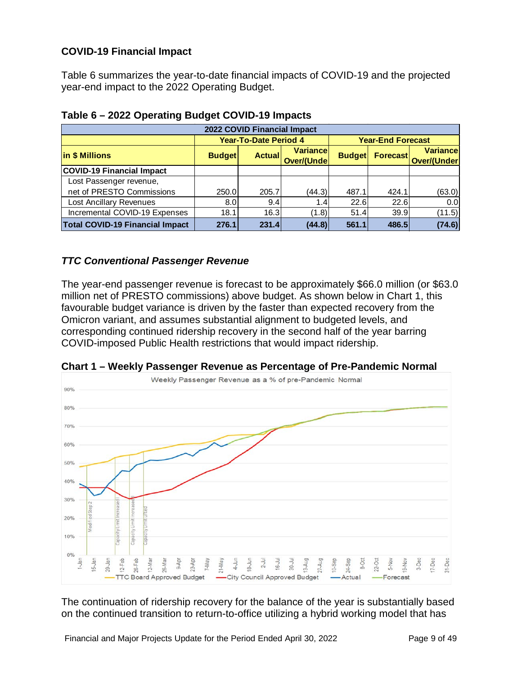# **COVID-19 Financial Impact**

Table 6 summarizes the year-to-date financial impacts of COVID-19 and the projected year-end impact to the 2022 Operating Budget.

| 2022 COVID Financial Impact            |               |                              |                    |                                                                            |       |        |  |  |  |  |  |  |
|----------------------------------------|---------------|------------------------------|--------------------|----------------------------------------------------------------------------|-------|--------|--|--|--|--|--|--|
|                                        |               | <b>Year-To-Date Period 4</b> |                    | <b>Year-End Forecast</b>                                                   |       |        |  |  |  |  |  |  |
| in \$ Millions                         | <b>Budget</b> | <b>Actual</b>                | <b>Over/(Undel</b> | <b>Variancel</b><br><b>Forecast</b><br><b>Budget</b><br><b>Over/(Under</b> |       |        |  |  |  |  |  |  |
| <b>COVID-19 Financial Impact</b>       |               |                              |                    |                                                                            |       |        |  |  |  |  |  |  |
| Lost Passenger revenue,                |               |                              |                    |                                                                            |       |        |  |  |  |  |  |  |
| net of PRESTO Commissions              | 250.0         | 205.7                        | (44.3)             | 487.1                                                                      | 424.1 | (63.0) |  |  |  |  |  |  |
| <b>Lost Ancillary Revenues</b>         | 8.0           | 9.4                          | 1.4                | 22.6                                                                       | 22.6  | 0.0    |  |  |  |  |  |  |
| Incremental COVID-19 Expenses          | 18.1          | 16.3                         | (1.8)              | 51.4                                                                       | 39.9  | (11.5) |  |  |  |  |  |  |
| <b>Total COVID-19 Financial Impact</b> | 276.1         | 231.4                        | (44.8)             | 561.1                                                                      | 486.5 | (74.6) |  |  |  |  |  |  |

# *TTC Conventional Passenger Revenue*

The year-end passenger revenue is forecast to be approximately \$66.0 million (or \$63.0 million net of PRESTO commissions) above budget. As shown below in Chart 1, this favourable budget variance is driven by the faster than expected recovery from the Omicron variant, and assumes substantial alignment to budgeted levels, and corresponding continued ridership recovery in the second half of the year barring COVID-imposed Public Health restrictions that would impact ridership.



**Chart 1 – Weekly Passenger Revenue as Percentage of Pre-Pandemic Normal**

The continuation of ridership recovery for the balance of the year is substantially based on the continued transition to return-to-office utilizing a hybrid working model that has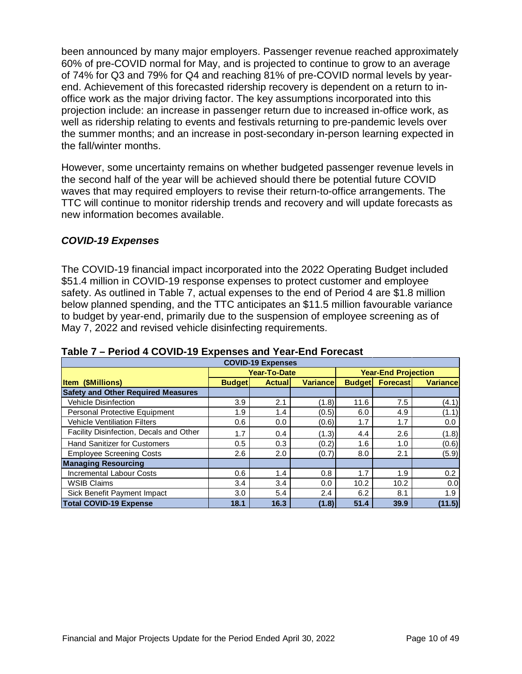been announced by many major employers. Passenger revenue reached approximately 60% of pre-COVID normal for May, and is projected to continue to grow to an average of 74% for Q3 and 79% for Q4 and reaching 81% of pre-COVID normal levels by yearend. Achievement of this forecasted ridership recovery is dependent on a return to inoffice work as the major driving factor. The key assumptions incorporated into this projection include: an increase in passenger return due to increased in-office work, as well as ridership relating to events and festivals returning to pre-pandemic levels over the summer months; and an increase in post-secondary in-person learning expected in the fall/winter months.

However, some uncertainty remains on whether budgeted passenger revenue levels in the second half of the year will be achieved should there be potential future COVID waves that may required employers to revise their return-to-office arrangements. The TTC will continue to monitor ridership trends and recovery and will update forecasts as new information becomes available.

### *COVID-19 Expenses*

The COVID-19 financial impact incorporated into the 2022 Operating Budget included \$51.4 million in COVID-19 response expenses to protect customer and employee safety. As outlined in Table 7, actual expenses to the end of Period 4 are \$1.8 million below planned spending, and the TTC anticipates an \$11.5 million favourable variance to budget by year-end, primarily due to the suspension of employee screening as of May 7, 2022 and revised vehicle disinfecting requirements.

| <b>COVID-19 Expenses</b>                  |               |                     |                 |                            |                        |                 |  |  |  |  |  |  |
|-------------------------------------------|---------------|---------------------|-----------------|----------------------------|------------------------|-----------------|--|--|--|--|--|--|
|                                           |               | <b>Year-To-Date</b> |                 | <b>Year-End Projection</b> |                        |                 |  |  |  |  |  |  |
| <b>Item (\$Millions)</b>                  | <b>Budget</b> | <b>Actual</b>       | <b>Variance</b> |                            | <b>Budget</b> Forecast | <b>Variance</b> |  |  |  |  |  |  |
| <b>Safety and Other Required Measures</b> |               |                     |                 |                            |                        |                 |  |  |  |  |  |  |
| <b>Vehicle Disinfection</b>               | 3.9           | 2.1                 | (1.8)           | 11.6                       | 7.5                    | (4.1)           |  |  |  |  |  |  |
| <b>Personal Protective Equipment</b>      | 1.9           | 1.4                 | (0.5)           | 6.0                        | 4.9                    | (1.1)           |  |  |  |  |  |  |
| <b>Vehicle Ventiliation Filters</b>       | 0.6           | 0.0                 | (0.6)           | 1.7                        | 1.7                    | 0.0             |  |  |  |  |  |  |
| Facility Disinfection, Decals and Other   | 1.7           | 0.4                 | (1.3)           | 4.4                        | 2.6                    | (1.8)           |  |  |  |  |  |  |
| <b>Hand Sanitizer for Customers</b>       | 0.5           | 0.3                 | (0.2)           | 1.6                        | 1.0                    | (0.6)           |  |  |  |  |  |  |
| <b>Employee Screening Costs</b>           | 2.6           | 2.0                 | (0.7)           | 8.0                        | 2.1                    | (5.9)           |  |  |  |  |  |  |
| <b>Managing Resourcing</b>                |               |                     |                 |                            |                        |                 |  |  |  |  |  |  |
| <b>Incremental Labour Costs</b>           | 0.6           | 1.4                 | 0.8             | 1.7                        | 1.9                    | 0.2             |  |  |  |  |  |  |
| <b>WSIB Claims</b>                        | 3.4           | 3.4                 | 0.0             | 10.2                       | 10.2                   | 0.0             |  |  |  |  |  |  |
| Sick Benefit Payment Impact               | 3.0           | 5.4                 | 2.4             | 6.2                        | 8.1                    | 1.9             |  |  |  |  |  |  |
| <b>Total COVID-19 Expense</b>             | 18.1          | 16.3                | (1.8)           | 51.4                       | 39.9                   | (11.5)          |  |  |  |  |  |  |

### **Table 7 – Period 4 COVID-19 Expenses and Year-End Forecast**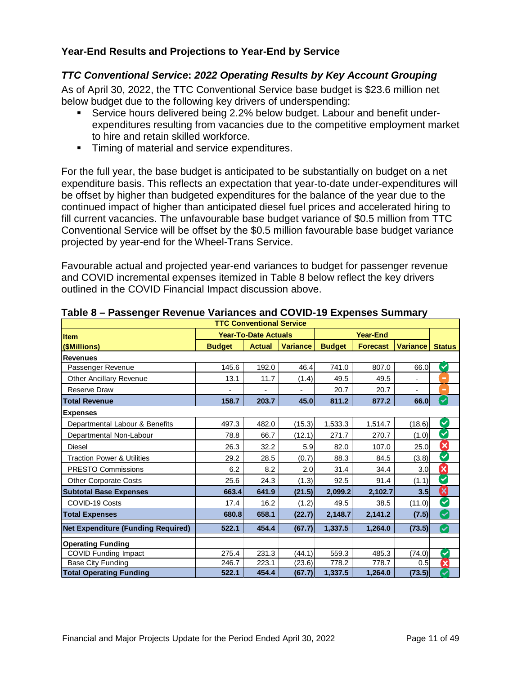# **Year-End Results and Projections to Year-End by Service**

### *TTC Conventional Service***:** *2022 Operating Results by Key Account Grouping*

As of April 30, 2022, the TTC Conventional Service base budget is \$23.6 million net below budget due to the following key drivers of underspending:

- Service hours delivered being 2.2% below budget. Labour and benefit underexpenditures resulting from vacancies due to the competitive employment market to hire and retain skilled workforce.
- **Timing of material and service expenditures.**

For the full year, the base budget is anticipated to be substantially on budget on a net expenditure basis. This reflects an expectation that year-to-date under-expenditures will be offset by higher than budgeted expenditures for the balance of the year due to the continued impact of higher than anticipated diesel fuel prices and accelerated hiring to fill current vacancies. The unfavourable base budget variance of \$0.5 million from TTC Conventional Service will be offset by the \$0.5 million favourable base budget variance projected by year-end for the Wheel-Trans Service.

Favourable actual and projected year-end variances to budget for passenger revenue and COVID incremental expenses itemized in Table 8 below reflect the key drivers outlined in the COVID Financial Impact discussion above.

| <b>TTC Conventional Service</b>           |                                                   |                             |        |               |                 |                |                            |  |  |  |  |
|-------------------------------------------|---------------------------------------------------|-----------------------------|--------|---------------|-----------------|----------------|----------------------------|--|--|--|--|
| <b>Item</b>                               |                                                   | <b>Year-To-Date Actuals</b> |        |               | <b>Year-End</b> |                |                            |  |  |  |  |
| (\$Millions)                              | <b>Budget</b><br><b>Variance</b><br><b>Actual</b> |                             |        | <b>Budget</b> | <b>Status</b>   |                |                            |  |  |  |  |
| <b>Revenues</b>                           |                                                   |                             |        |               |                 |                |                            |  |  |  |  |
| Passenger Revenue                         | 145.6                                             | 192.0                       | 46.4   | 741.0         | 807.0           | 66.0           | Ø                          |  |  |  |  |
| Other Ancillary Revenue                   | 13.1                                              | 11.7                        | (1.4)  | 49.5          | 49.5            |                |                            |  |  |  |  |
| <b>Reserve Draw</b>                       |                                                   | ٠                           |        | 20.7          | 20.7            | $\blacksquare$ | $\blacksquare$             |  |  |  |  |
| <b>Total Revenue</b>                      | 158.7                                             | 203.7                       | 45.0   | 811.2         | 877.2           | 66.0           | $\checkmark$               |  |  |  |  |
| <b>Expenses</b>                           |                                                   |                             |        |               |                 |                |                            |  |  |  |  |
| Departmental Labour & Benefits            | 497.3                                             | 482.0                       | (15.3) | 1,533.3       | 1,514.7         | (18.6)         | $\boldsymbol{\heartsuit}$  |  |  |  |  |
| Departmental Non-Labour                   | 78.8                                              | 66.7                        | (12.1) | 271.7         | 270.7           | (1.0)          | Ø                          |  |  |  |  |
| Diesel                                    | 26.3                                              | 32.2                        | 5.9    | 82.0          | 107.0           | 25.0           | ೞ                          |  |  |  |  |
| <b>Traction Power &amp; Utilities</b>     | 29.2                                              | 28.5                        | (0.7)  | 88.3          | 84.5            | (3.8)          | Ø                          |  |  |  |  |
| <b>PRESTO Commissions</b>                 | 6.2                                               | 8.2                         | 2.0    | 31.4          | 34.4            | 3.0            | Ø                          |  |  |  |  |
| <b>Other Corporate Costs</b>              | 25.6                                              | 24.3                        | (1.3)  | 92.5          | 91.4            | (1.1)          | Ø                          |  |  |  |  |
| <b>Subtotal Base Expenses</b>             | 663.4                                             | 641.9                       | (21.5) | 2,099.2       | 2,102.7         | 3.5            | ظ                          |  |  |  |  |
| COVID-19 Costs                            | 17.4                                              | 16.2                        | (1.2)  | 49.5          | 38.5            | (11.0)         | Ø                          |  |  |  |  |
| <b>Total Expenses</b>                     | 680.8                                             | 658.1                       | (22.7) | 2,148.7       | 2,141.2         | (7.5)          | $\blacktriangledown$       |  |  |  |  |
| <b>Net Expenditure (Funding Required)</b> | 522.1                                             | 454.4                       | (67.7) | 1,337.5       | 1.264.0         | (73.5)         | $\boldsymbol{\mathcal{S}}$ |  |  |  |  |
| <b>Operating Funding</b>                  |                                                   |                             |        |               |                 |                |                            |  |  |  |  |
| COVID Funding Impact                      | 275.4                                             | 231.3                       | (44.1) | 559.3         | 485.3           | (74.0)         | $\checkmark$               |  |  |  |  |
| <b>Base City Funding</b>                  | 246.7                                             | 223.1                       | (23.6) | 778.2         | 778.7           | 0.5            | X)                         |  |  |  |  |
| <b>Total Operating Funding</b>            | 522.1                                             | 454.4                       | (67.7) | 1,337.5       | 1,264.0         | (73.5)         | $\checkmark$               |  |  |  |  |

**Table 8 – Passenger Revenue Variances and COVID-19 Expenses Summary**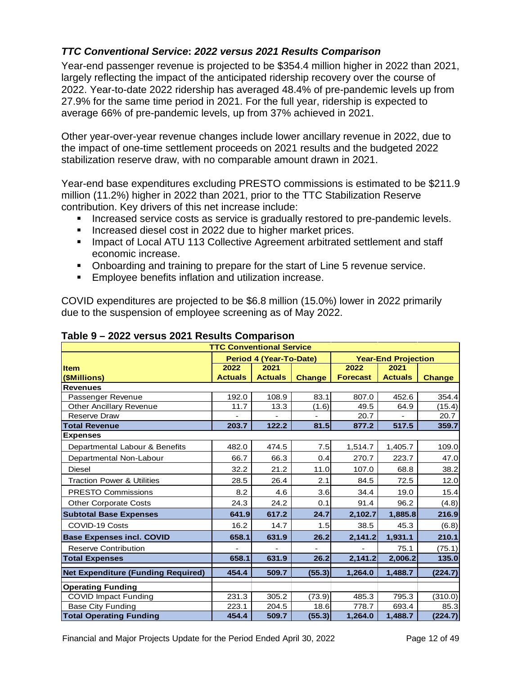# *TTC Conventional Service***:** *2022 versus 2021 Results Comparison*

Year-end passenger revenue is projected to be \$354.4 million higher in 2022 than 2021, largely reflecting the impact of the anticipated ridership recovery over the course of 2022. Year-to-date 2022 ridership has averaged 48.4% of pre-pandemic levels up from 27.9% for the same time period in 2021. For the full year, ridership is expected to average 66% of pre-pandemic levels, up from 37% achieved in 2021.

Other year-over-year revenue changes include lower ancillary revenue in 2022, due to the impact of one-time settlement proceeds on 2021 results and the budgeted 2022 stabilization reserve draw, with no comparable amount drawn in 2021.

Year-end base expenditures excluding PRESTO commissions is estimated to be \$211.9 million (11.2%) higher in 2022 than 2021, prior to the TTC Stabilization Reserve contribution. Key drivers of this net increase include:

- **Increased service costs as service is gradually restored to pre-pandemic levels.**
- **Increased diesel cost in 2022 due to higher market prices.**
- **IMPACT OF LOCAL ATU 113 Collective Agreement arbitrated settlement and staff ILM** economic increase.
- Onboarding and training to prepare for the start of Line 5 revenue service.
- **Employee benefits inflation and utilization increase.**

COVID expenditures are projected to be \$6.8 million (15.0%) lower in 2022 primarily due to the suspension of employee screening as of May 2022.

|                                           | <b>TTC Conventional Service</b> |                                |               |                 |                            |               |
|-------------------------------------------|---------------------------------|--------------------------------|---------------|-----------------|----------------------------|---------------|
|                                           |                                 | <b>Period 4 (Year-To-Date)</b> |               |                 | <b>Year-End Projection</b> |               |
| <b>Item</b>                               | 2022                            | 2021                           |               | 2022            | 2021                       |               |
| (\$Millions)                              | <b>Actuals</b>                  | <b>Actuals</b>                 | <b>Change</b> | <b>Forecast</b> | <b>Actuals</b>             | <b>Change</b> |
| <b>Revenues</b>                           |                                 |                                |               |                 |                            |               |
| Passenger Revenue                         | 192.0                           | 108.9                          | 83.1          | 807.0           | 452.6                      | 354.4         |
| <b>Other Ancillary Revenue</b>            | 11.7                            | 13.3                           | (1.6)         | 49.5            | 64.9                       | (15.4)        |
| <b>Reserve Draw</b>                       |                                 |                                |               | 20.7            |                            | 20.7          |
| <b>Total Revenue</b>                      | 203.7                           | 122.2                          | 81.5          | 877.2           | 517.5                      | 359.7         |
| <b>Expenses</b>                           |                                 |                                |               |                 |                            |               |
| Departmental Labour & Benefits            | 482.0                           | 474.5                          | 7.5           | 1,514.7         | 1,405.7                    | 109.0         |
| Departmental Non-Labour                   | 66.7                            | 66.3                           | 0.4           | 270.7           | 223.7                      | 47.0          |
| Diesel                                    | 32.2                            | 21.2                           | 11.0          | 107.0           | 68.8                       | 38.2          |
| <b>Traction Power &amp; Utilities</b>     | 28.5                            | 26.4                           | 2.1           | 84.5            | 72.5                       | 12.0          |
| <b>PRESTO Commissions</b>                 | 8.2                             | 4.6                            | 3.6           | 34.4            | 19.0                       | 15.4          |
| <b>Other Corporate Costs</b>              | 24.3                            | 24.2                           | 0.1           | 91.4            | 96.2                       | (4.8)         |
| <b>Subtotal Base Expenses</b>             | 641.9                           | 617.2                          | 24.7          | 2,102.7         | 1,885.8                    | 216.9         |
| COVID-19 Costs                            | 16.2                            | 14.7                           | 1.5           | 38.5            | 45.3                       | (6.8)         |
| <b>Base Expenses incl. COVID</b>          | 658.1                           | 631.9                          | 26.2          | 2,141.2         | 1,931.1                    | 210.1         |
| <b>Reserve Contribution</b>               |                                 |                                |               |                 | 75.1                       | (75.1)        |
| <b>Total Expenses</b>                     | 658.1                           | 631.9                          | 26.2          | 2,141.2         | 2,006.2                    | 135.0         |
| <b>Net Expenditure (Funding Required)</b> | 454.4                           | 509.7                          | (55.3)        | 1,264.0         | 1,488.7                    | (224.7)       |
| <b>Operating Funding</b>                  |                                 |                                |               |                 |                            |               |
| <b>COVID Impact Funding</b>               | 231.3                           | 305.2                          | (73.9)        | 485.3           | 795.3                      | (310.0)       |
| <b>Base City Funding</b>                  | 223.1                           | 204.5                          | 18.6          | 778.7           | 693.4                      | 85.3          |
| <b>Total Operating Funding</b>            | 454.4                           | 509.7                          | (55.3)        | 1,264.0         | 1,488.7                    | (224.7)       |

# **Table 9 – 2022 versus 2021 Results Comparison**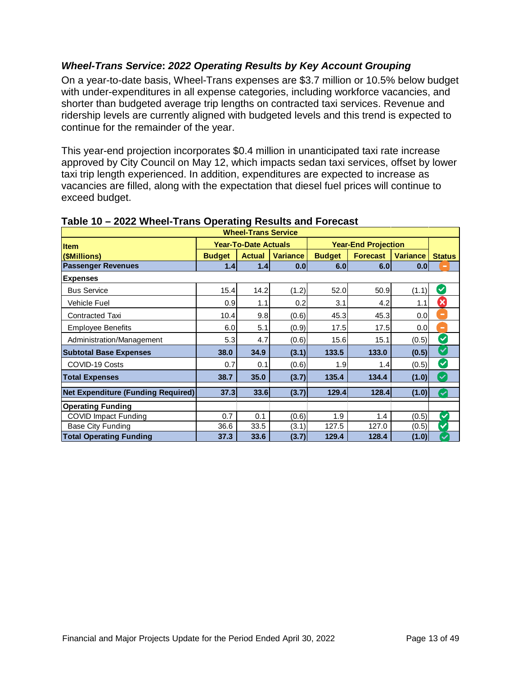# *Wheel-Trans Service***:** *2022 Operating Results by Key Account Grouping*

On a year-to-date basis, Wheel-Trans expenses are \$3.7 million or 10.5% below budget with under-expenditures in all expense categories, including workforce vacancies, and shorter than budgeted average trip lengths on contracted taxi services. Revenue and ridership levels are currently aligned with budgeted levels and this trend is expected to continue for the remainder of the year.

This year-end projection incorporates \$0.4 million in unanticipated taxi rate increase approved by City Council on May 12, which impacts sedan taxi services, offset by lower taxi trip length experienced. In addition, expenditures are expected to increase as vacancies are filled, along with the expectation that diesel fuel prices will continue to exceed budget.

| <b>Wheel-Trans Service</b>                |               |                             |                  |               |                            |                 |                      |  |
|-------------------------------------------|---------------|-----------------------------|------------------|---------------|----------------------------|-----------------|----------------------|--|
| <b>Item</b>                               |               | <b>Year-To-Date Actuals</b> |                  |               | <b>Year-End Projection</b> |                 |                      |  |
| (\$Millions)                              | <b>Budget</b> | <b>Actual</b>               | <b>Variance</b>  | <b>Budget</b> | <b>Forecast</b>            | <b>Variance</b> | <b>Status</b>        |  |
| <b>Passenger Revenues</b>                 | 1.4           | 1.4                         | 0.0 <sub>l</sub> | 6.0           | 6.0                        | 0.0             |                      |  |
| <b>Expenses</b>                           |               |                             |                  |               |                            |                 |                      |  |
| <b>Bus Service</b>                        | 15.4          | 14.2                        | (1.2)            | 52.0          | 50.9                       | (1.1)           | $\checkmark$         |  |
| <b>Vehicle Fuel</b>                       | 0.9           | 1.1                         | 0.2              | 3.1           | 4.2                        | 1.1             | ×                    |  |
| <b>Contracted Taxi</b>                    | 10.4          | 9.8                         | (0.6)            | 45.3          | 45.3                       | 0.0             | ٠                    |  |
| <b>Employee Benefits</b>                  | 6.0           | 5.1                         | (0.9)            | 17.5          | 17.5                       | 0.0             |                      |  |
| Administration/Management                 | 5.3           | 4.7                         | (0.6)            | 15.6          | 15.1                       | (0.5)           | $\blacktriangledown$ |  |
| <b>Subtotal Base Expenses</b>             | 38.0          | 34.9                        | (3.1)            | 133.5         | 133.0                      | (0.5)           | $\checkmark$         |  |
| COVID-19 Costs                            | 0.7           | 0.1                         | (0.6)            | 1.9           | 1.4                        | (0.5)           | ✓                    |  |
| <b>Total Expenses</b>                     | 38.7          | 35.0                        | (3.7)            | 135.4         | 134.4                      | (1.0)           | $\checkmark$         |  |
| <b>Net Expenditure (Funding Required)</b> | 37.3          | 33.6                        | (3.7)            | 129.4         | 128.4                      | (1.0)           |                      |  |
| <b>Operating Funding</b>                  |               |                             |                  |               |                            |                 |                      |  |
| COVID Impact Funding                      | 0.7           | 0.1                         | (0.6)            | 1.9           | 1.4                        | (0.5)           | $\blacktriangledown$ |  |
| <b>Base City Funding</b>                  | 36.6          | 33.5                        | (3.1)            | 127.5         | 127.0                      | (0.5)           | ✓                    |  |
| <b>Total Operating Funding</b>            | 37.3          | 33.6                        | (3.7)            | 129.4         | 128.4                      | (1.0)           | $\checkmark$         |  |

### **Table 10 – 2022 Wheel-Trans Operating Results and Forecast**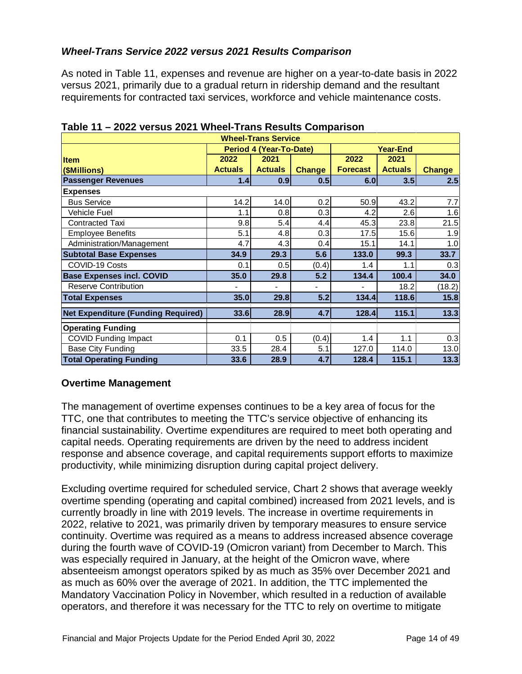# *Wheel-Trans Service 2022 versus 2021 Results Comparison*

As noted in Table 11, expenses and revenue are higher on a year-to-date basis in 2022 versus 2021, primarily due to a gradual return in ridership demand and the resultant requirements for contracted taxi services, workforce and vehicle maintenance costs.

| <b>Wheel-Trans Service</b>                |                |                                |               |                 |                 |               |  |  |
|-------------------------------------------|----------------|--------------------------------|---------------|-----------------|-----------------|---------------|--|--|
|                                           |                | <b>Period 4 (Year-To-Date)</b> |               |                 | <b>Year-End</b> |               |  |  |
| <b>Item</b>                               | 2022           | 2021                           |               | 2022            | 2021            |               |  |  |
| (\$Millions)                              | <b>Actuals</b> | <b>Actuals</b>                 | <b>Change</b> | <b>Forecast</b> | <b>Actuals</b>  | <b>Change</b> |  |  |
| <b>Passenger Revenues</b>                 | 1.4            | 0.9                            | 0.5           | 6.0             | 3.5             | 2.5           |  |  |
| <b>Expenses</b>                           |                |                                |               |                 |                 |               |  |  |
| <b>Bus Service</b>                        | 14.2           | 14.0                           | 0.2           | 50.9            | 43.2            | 7.7           |  |  |
| <b>Vehicle Fuel</b>                       | 1.1            | 0.8                            | 0.3           | 4.2             | 2.6             | 1.6           |  |  |
| Contracted Taxi                           | 9.8            | 5.4                            | 4.4           | 45.3            | 23.8            | 21.5          |  |  |
| <b>Employee Benefits</b>                  | 5.1            | 4.8                            | 0.3           | 17.5            | 15.6            | 1.9           |  |  |
| Administration/Management                 | 4.7            | 4.3                            | 0.4           | 15.1            | 14.1            | 1.0           |  |  |
| <b>Subtotal Base Expenses</b>             | 34.9           | 29.3                           | 5.6           | 133.0           | 99.3            | 33.7          |  |  |
| COVID-19 Costs                            | 0.1            | 0.5                            | (0.4)         | 1.4             | 1.1             | 0.3           |  |  |
| <b>Base Expenses incl. COVID</b>          | 35.0           | 29.8                           | 5.2           | 134.4           | 100.4           | 34.0          |  |  |
| <b>Reserve Contribution</b>               |                | $\blacksquare$                 |               |                 | 18.2            | (18.2)        |  |  |
| <b>Total Expenses</b>                     | 35.0           | 29.8                           | 5.2           | 134.4           | 118.6           | 15.8          |  |  |
| <b>Net Expenditure (Funding Required)</b> | 33.6           | 28.9                           | 4.7           | 128.4           | 115.1           | 13.3          |  |  |
| <b>Operating Funding</b>                  |                |                                |               |                 |                 |               |  |  |
| <b>COVID Funding Impact</b>               | 0.1            | 0.5                            | (0.4)         | 1.4             | 1.1             | 0.3           |  |  |
| <b>Base City Funding</b>                  | 33.5           | 28.4                           | 5.1           | 127.0           | 114.0           | 13.0          |  |  |
| <b>Total Operating Funding</b>            | 33.6           | 28.9                           | 4.7           | 128.4           | 115.1           | 13.3          |  |  |

### **Table 11 – 2022 versus 2021 Wheel-Trans Results Comparison**

### **Overtime Management**

The management of overtime expenses continues to be a key area of focus for the TTC, one that contributes to meeting the TTC's service objective of enhancing its financial sustainability. Overtime expenditures are required to meet both operating and capital needs. Operating requirements are driven by the need to address incident response and absence coverage, and capital requirements support efforts to maximize productivity, while minimizing disruption during capital project delivery.

Excluding overtime required for scheduled service, Chart 2 shows that average weekly overtime spending (operating and capital combined) increased from 2021 levels, and is currently broadly in line with 2019 levels. The increase in overtime requirements in 2022, relative to 2021, was primarily driven by temporary measures to ensure service continuity. Overtime was required as a means to address increased absence coverage during the fourth wave of COVID-19 (Omicron variant) from December to March. This was especially required in January, at the height of the Omicron wave, where absenteeism amongst operators spiked by as much as 35% over December 2021 and as much as 60% over the average of 2021. In addition, the TTC implemented the Mandatory Vaccination Policy in November, which resulted in a reduction of available operators, and therefore it was necessary for the TTC to rely on overtime to mitigate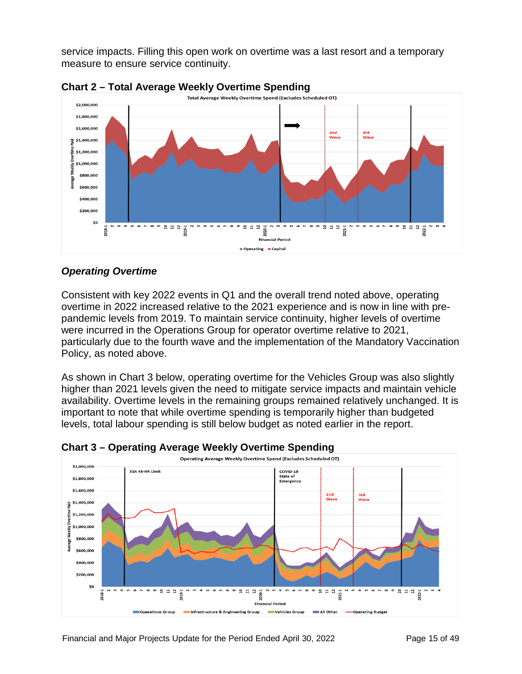service impacts. Filling this open work on overtime was a last resort and a temporary measure to ensure service continuity.



# *Operating Overtime*

Consistent with key 2022 events in Q1 and the overall trend noted above, operating overtime in 2022 increased relative to the 2021 experience and is now in line with prepandemic levels from 2019. To maintain service continuity, higher levels of overtime were incurred in the Operations Group for operator overtime relative to 2021, particularly due to the fourth wave and the implementation of the Mandatory Vaccination Policy, as noted above.

As shown in Chart 3 below, operating overtime for the Vehicles Group was also slightly higher than 2021 levels given the need to mitigate service impacts and maintain vehicle availability. Overtime levels in the remaining groups remained relatively unchanged. It is important to note that while overtime spending is temporarily higher than budgeted levels, total labour spending is still below budget as noted earlier in the report.



**Chart 3 – Operating Average Weekly Overtime Spending**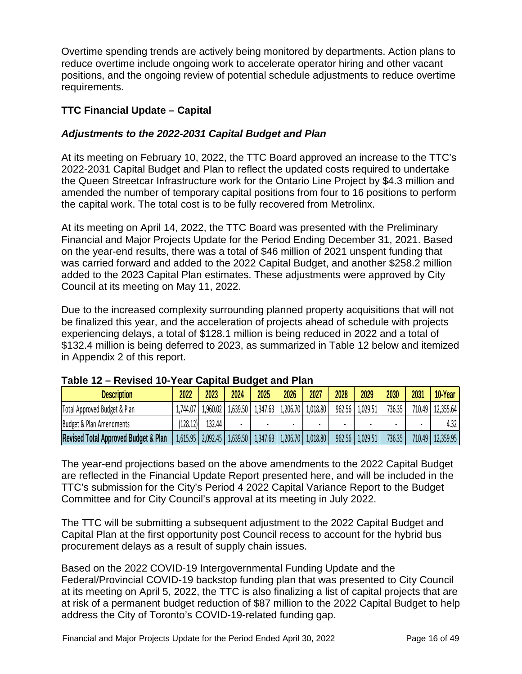Overtime spending trends are actively being monitored by departments. Action plans to reduce overtime include ongoing work to accelerate operator hiring and other vacant positions, and the ongoing review of potential schedule adjustments to reduce overtime requirements.

### **TTC Financial Update – Capital**

# *Adjustments to the 2022-2031 Capital Budget and Plan*

At its meeting on February 10, 2022, the TTC Board approved an increase to the TTC's 2022-2031 Capital Budget and Plan to reflect the updated costs required to undertake the Queen Streetcar Infrastructure work for the Ontario Line Project by \$4.3 million and amended the number of temporary capital positions from four to 16 positions to perform the capital work. The total cost is to be fully recovered from Metrolinx.

At its meeting on April 14, 2022, the TTC Board was presented with the Preliminary Financial and Major Projects Update for the Period Ending December 31, 2021. Based on the year-end results, there was a total of \$46 million of 2021 unspent funding that was carried forward and added to the 2022 Capital Budget, and another \$258.2 million added to the 2023 Capital Plan estimates. These adjustments were approved by City Council at its meeting on May 11, 2022.

Due to the increased complexity surrounding planned property acquisitions that will not be finalized this year, and the acceleration of projects ahead of schedule with projects experiencing delays, a total of \$128.1 million is being reduced in 2022 and a total of \$132.4 million is being deferred to 2023, as summarized in Table 12 below and itemized in Appendix 2 of this report.

| <b>Description</b>                              | 2022     | 2023     | 2024                             | 2025     | 2026     | 2027     | 2028   | 2029                | 2030   | 203'   | 10-Year   |
|-------------------------------------------------|----------|----------|----------------------------------|----------|----------|----------|--------|---------------------|--------|--------|-----------|
| Total Approved Budget & Plan                    | 1,744.07 | 1,960.02 | 1,639.50                         | 1,347.63 | 1,206.70 | 1,018.80 | 962.56 | 1,029.51            | 736.35 | 710.49 | 12,355.64 |
| Budget & Plan Amendments                        | (128.12) | 132.44   |                                  |          |          |          |        |                     |        |        | 4.32      |
| <b>Revised Total Approved Budget &amp; Plan</b> |          |          | $1,615.95$   2,092.45   1,639.50 | 1,347.63 | 1,206.70 | 1,018.80 |        | $962.56$   1,029.51 | 736.35 | 710.49 | 12,359.95 |

### **Table 12 – Revised 10-Year Capital Budget and Plan**

The year-end projections based on the above amendments to the 2022 Capital Budget are reflected in the Financial Update Report presented here, and will be included in the TTC's submission for the City's Period 4 2022 Capital Variance Report to the Budget Committee and for City Council's approval at its meeting in July 2022.

The TTC will be submitting a subsequent adjustment to the 2022 Capital Budget and Capital Plan at the first opportunity post Council recess to account for the hybrid bus procurement delays as a result of supply chain issues.

Based on the 2022 COVID-19 Intergovernmental Funding Update and the Federal/Provincial COVID-19 backstop funding plan that was presented to City Council at its meeting on April 5, 2022, the TTC is also finalizing a list of capital projects that are at risk of a permanent budget reduction of \$87 million to the 2022 Capital Budget to help address the City of Toronto's COVID-19-related funding gap.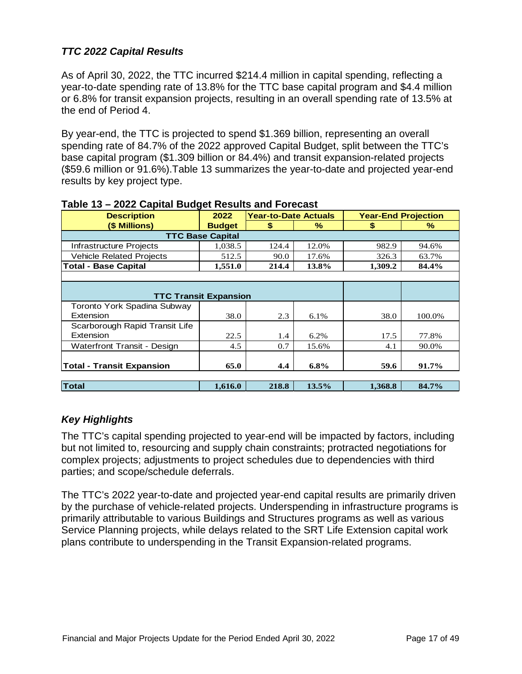# *TTC 2022 Capital Results*

As of April 30, 2022, the TTC incurred \$214.4 million in capital spending, reflecting a year-to-date spending rate of 13.8% for the TTC base capital program and \$4.4 million or 6.8% for transit expansion projects, resulting in an overall spending rate of 13.5% at the end of Period 4.

By year-end, the TTC is projected to spend \$1.369 billion, representing an overall spending rate of 84.7% of the 2022 approved Capital Budget, split between the TTC's base capital program (\$1.309 billion or 84.4%) and transit expansion-related projects (\$59.6 million or 91.6%).Table 13 summarizes the year-to-date and projected year-end results by key project type.

| <b>Description</b>               | 2022                    | <b>Year-to-Date Actuals</b> |         | <b>Year-End Projection</b> |        |
|----------------------------------|-------------------------|-----------------------------|---------|----------------------------|--------|
| (\$ Millions)                    | <b>Budget</b>           | \$                          | ℅       | \$                         | %      |
|                                  | <b>TTC Base Capital</b> |                             |         |                            |        |
| Infrastructure Projects          | 1,038.5                 | 124.4                       | 12.0%   | 982.9                      | 94.6%  |
| <b>Vehicle Related Projects</b>  | 512.5                   | 90.0                        | 17.6%   | 326.3                      | 63.7%  |
| <b>Total - Base Capital</b>      | 1,551.0                 | 214.4                       | 13.8%   | 1,309.2                    | 84.4%  |
|                                  |                         |                             |         |                            |        |
| <b>TTC Transit Expansion</b>     |                         |                             |         |                            |        |
| Toronto York Spadina Subway      |                         |                             |         |                            |        |
| Extension                        | 38.0                    | 2.3                         | 6.1%    | 38.0                       | 100.0% |
| Scarborough Rapid Transit Life   |                         |                             |         |                            |        |
| Extension                        | 22.5                    | 1.4                         | 6.2%    | 17.5                       | 77.8%  |
| Waterfront Transit - Design      | 4.5                     | 0.7                         | 15.6%   | 4.1                        | 90.0%  |
|                                  |                         |                             |         |                            |        |
| <b>Total - Transit Expansion</b> | 65.0                    | 4.4                         | $6.8\%$ | 59.6                       | 91.7%  |
| Total                            | 1,616.0                 | 218.8                       | 13.5%   | 1,368.8                    | 84.7%  |

#### **Table 13 – 2022 Capital Budget Results and Forecast**

# *Key Highlights*

The TTC's capital spending projected to year-end will be impacted by factors, including but not limited to, resourcing and supply chain constraints; protracted negotiations for complex projects; adjustments to project schedules due to dependencies with third parties; and scope/schedule deferrals.

The TTC's 2022 year-to-date and projected year-end capital results are primarily driven by the purchase of vehicle-related projects. Underspending in infrastructure programs is primarily attributable to various Buildings and Structures programs as well as various Service Planning projects, while delays related to the SRT Life Extension capital work plans contribute to underspending in the Transit Expansion-related programs.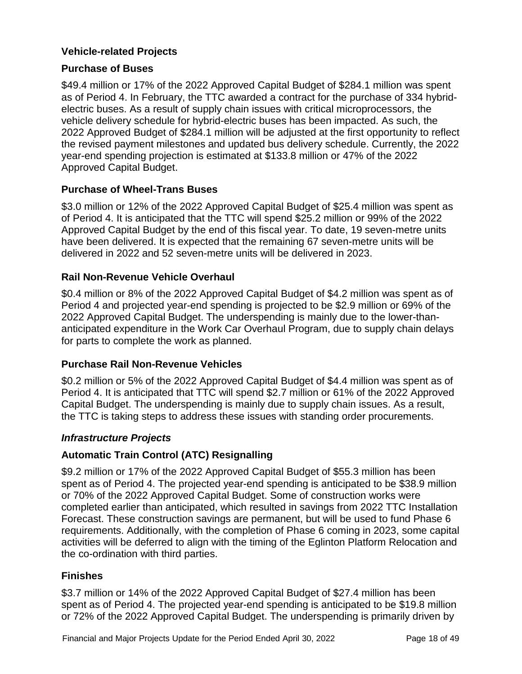# **Vehicle-related Projects**

# **Purchase of Buses**

\$49.4 million or 17% of the 2022 Approved Capital Budget of \$284.1 million was spent as of Period 4. In February, the TTC awarded a contract for the purchase of 334 hybridelectric buses. As a result of supply chain issues with critical microprocessors, the vehicle delivery schedule for hybrid-electric buses has been impacted. As such, the 2022 Approved Budget of \$284.1 million will be adjusted at the first opportunity to reflect the revised payment milestones and updated bus delivery schedule. Currently, the 2022 year-end spending projection is estimated at \$133.8 million or 47% of the 2022 Approved Capital Budget.

# **Purchase of Wheel-Trans Buses**

\$3.0 million or 12% of the 2022 Approved Capital Budget of \$25.4 million was spent as of Period 4. It is anticipated that the TTC will spend \$25.2 million or 99% of the 2022 Approved Capital Budget by the end of this fiscal year. To date, 19 seven-metre units have been delivered. It is expected that the remaining 67 seven-metre units will be delivered in 2022 and 52 seven-metre units will be delivered in 2023.

# **Rail Non-Revenue Vehicle Overhaul**

\$0.4 million or 8% of the 2022 Approved Capital Budget of \$4.2 million was spent as of Period 4 and projected year-end spending is projected to be \$2.9 million or 69% of the 2022 Approved Capital Budget. The underspending is mainly due to the lower-thananticipated expenditure in the Work Car Overhaul Program, due to supply chain delays for parts to complete the work as planned.

### **Purchase Rail Non-Revenue Vehicles**

\$0.2 million or 5% of the 2022 Approved Capital Budget of \$4.4 million was spent as of Period 4. It is anticipated that TTC will spend \$2.7 million or 61% of the 2022 Approved Capital Budget. The underspending is mainly due to supply chain issues. As a result, the TTC is taking steps to address these issues with standing order procurements.

### *Infrastructure Projects*

# **Automatic Train Control (ATC) Resignalling**

\$9.2 million or 17% of the 2022 Approved Capital Budget of \$55.3 million has been spent as of Period 4. The projected year-end spending is anticipated to be \$38.9 million or 70% of the 2022 Approved Capital Budget. Some of construction works were completed earlier than anticipated, which resulted in savings from 2022 TTC Installation Forecast. These construction savings are permanent, but will be used to fund Phase 6 requirements. Additionally, with the completion of Phase 6 coming in 2023, some capital activities will be deferred to align with the timing of the Eglinton Platform Relocation and the co-ordination with third parties.

### **Finishes**

\$3.7 million or 14% of the 2022 Approved Capital Budget of \$27.4 million has been spent as of Period 4. The projected year-end spending is anticipated to be \$19.8 million or 72% of the 2022 Approved Capital Budget. The underspending is primarily driven by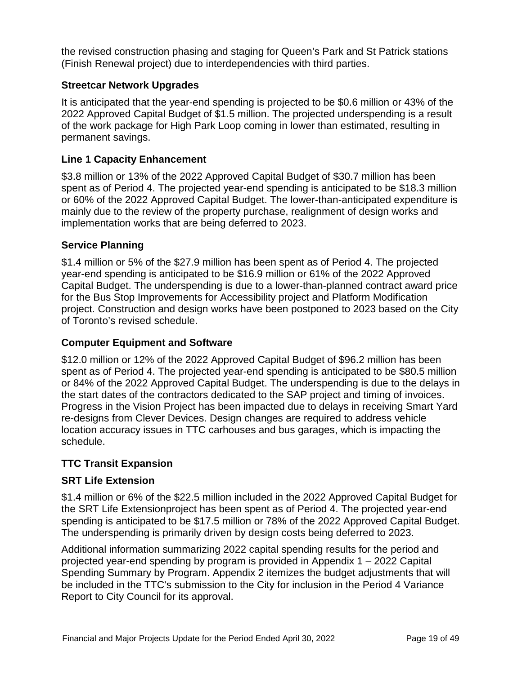the revised construction phasing and staging for Queen's Park and St Patrick stations (Finish Renewal project) due to interdependencies with third parties.

### **Streetcar Network Upgrades**

It is anticipated that the year-end spending is projected to be \$0.6 million or 43% of the 2022 Approved Capital Budget of \$1.5 million. The projected underspending is a result of the work package for High Park Loop coming in lower than estimated, resulting in permanent savings.

# **Line 1 Capacity Enhancement**

\$3.8 million or 13% of the 2022 Approved Capital Budget of \$30.7 million has been spent as of Period 4. The projected year-end spending is anticipated to be \$18.3 million or 60% of the 2022 Approved Capital Budget. The lower-than-anticipated expenditure is mainly due to the review of the property purchase, realignment of design works and implementation works that are being deferred to 2023.

### **Service Planning**

\$1.4 million or 5% of the \$27.9 million has been spent as of Period 4. The projected year-end spending is anticipated to be \$16.9 million or 61% of the 2022 Approved Capital Budget. The underspending is due to a lower-than-planned contract award price for the Bus Stop Improvements for Accessibility project and Platform Modification project. Construction and design works have been postponed to 2023 based on the City of Toronto's revised schedule.

### **Computer Equipment and Software**

\$12.0 million or 12% of the 2022 Approved Capital Budget of \$96.2 million has been spent as of Period 4. The projected year-end spending is anticipated to be \$80.5 million or 84% of the 2022 Approved Capital Budget. The underspending is due to the delays in the start dates of the contractors dedicated to the SAP project and timing of invoices. Progress in the Vision Project has been impacted due to delays in receiving Smart Yard re-designs from Clever Devices. Design changes are required to address vehicle location accuracy issues in TTC carhouses and bus garages, which is impacting the schedule.

### **TTC Transit Expansion**

### **SRT Life Extension**

\$1.4 million or 6% of the \$22.5 million included in the 2022 Approved Capital Budget for the SRT Life Extensionproject has been spent as of Period 4. The projected year-end spending is anticipated to be \$17.5 million or 78% of the 2022 Approved Capital Budget. The underspending is primarily driven by design costs being deferred to 2023.

Additional information summarizing 2022 capital spending results for the period and projected year-end spending by program is provided in Appendix 1 – 2022 Capital Spending Summary by Program. Appendix 2 itemizes the budget adjustments that will be included in the TTC's submission to the City for inclusion in the Period 4 Variance Report to City Council for its approval.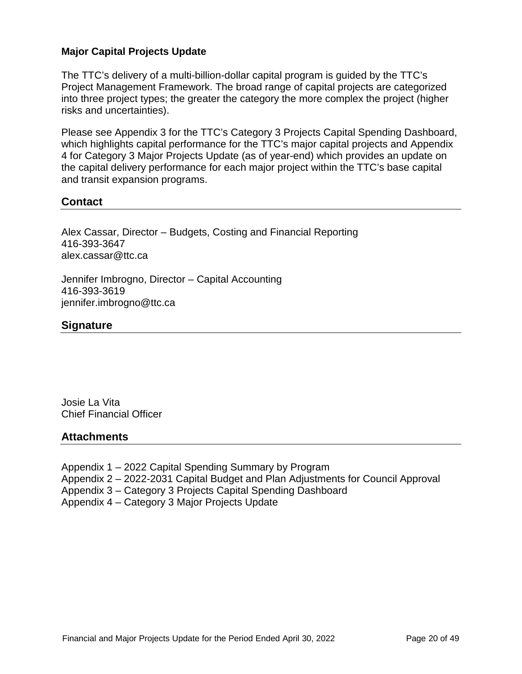### **Major Capital Projects Update**

The TTC's delivery of a multi-billion-dollar capital program is guided by the TTC's Project Management Framework. The broad range of capital projects are categorized into three project types; the greater the category the more complex the project (higher risks and uncertainties).

Please see Appendix 3 for the TTC's Category 3 Projects Capital Spending Dashboard, which highlights capital performance for the TTC's major capital projects and Appendix 4 for Category 3 Major Projects Update (as of year-end) which provides an update on the capital delivery performance for each major project within the TTC's base capital and transit expansion programs.

### **Contact**

Alex Cassar, Director – Budgets, Costing and Financial Reporting 416-393-3647 alex.cassar@ttc.ca

Jennifer Imbrogno, Director – Capital Accounting 416-393-3619 jennifer.imbrogno@ttc.ca

### **Signature**

Josie La Vita Chief Financial Officer

#### **Attachments**

Appendix 1 – 2022 Capital Spending Summary by Program Appendix 2 – 2022-2031 Capital Budget and Plan Adjustments for Council Approval Appendix 3 – Category 3 Projects Capital Spending Dashboard Appendix 4 – Category 3 Major Projects Update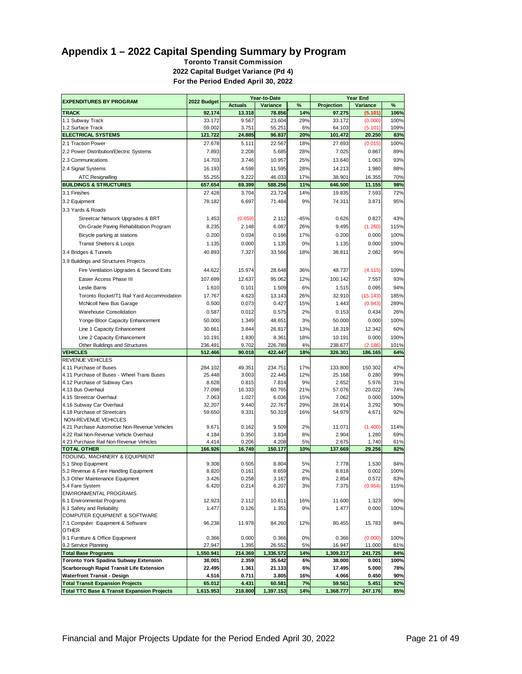### **Appendix 1 – 2022 Capital Spending Summary by Program**

**Toronto Transit Commission 2022 Capital Budget Variance (Pd 4) For the Period Ended April 30, 2022**

| <b>EXPENDITURES BY PROGRAM</b>                                                | 2022 Budget      | Year-to-Date    |                  |           | <b>Year End</b>  |                 |            |
|-------------------------------------------------------------------------------|------------------|-----------------|------------------|-----------|------------------|-----------------|------------|
|                                                                               |                  | <b>Actuals</b>  | Variance         | %         | Projection       | Variance        | %          |
| <b>TRACK</b>                                                                  | 92.174           | 13.318          | 78.856           | 14%       | 97.275           | (5.101)         | 106%       |
| 1.1 Subway Track                                                              | 33.172           | 9.567           | 23.604           | 29%       | 33.172           | (0.000)         | 100%       |
| 1.2 Surface Track                                                             | 59.002           | 3.751           | 55.251           | 6%        | 64.103           | (5.101)         | 109%       |
| <b>ELECTRICAL SYSTEMS</b>                                                     | 121.722          | 24.885          | 96.837           | 20%       | 101.472          | 20.250          | 83%        |
| 2.1 Traction Power                                                            | 27.678           | 5.111           | 22.567           | 18%       | 27.693           | (0.015)         | 100%       |
| 2.2 Power Distribution/Electric Systems                                       | 7.893            | 2.208           | 5.685            | 28%       | 7.025            | 0.867           | 89%        |
| 2.3 Communications                                                            | 14.703           | 3.746           | 10.957           | 25%       | 13.640           | 1.063           | 93%        |
| 2.4 Signal Systems                                                            | 16.193           | 4.598           | 11.595           | 28%       | 14.213           | 1.980           | 88%        |
| <b>ATC Resignalling</b>                                                       | 55.255           | 9.222           | 46.033           | 17%       | 38.901           | 16.355          | 70%        |
| <b>BUILDINGS &amp; STRUCTURES</b>                                             | 657.654          | 69.399          | 588.256          | 11%       | 646.500          | 11.155          | 98%        |
| 3.1 Finishes                                                                  | 27.428           | 3.704           | 23.724           | 14%       | 19.835           | 7.593           | 72%        |
| 3.2 Equipment                                                                 | 78.182           | 6.697           | 71.484           | 9%        | 74.311           | 3.871           | 95%        |
| 3.3 Yards & Roads                                                             |                  |                 |                  |           |                  |                 |            |
| Streetcar Network Upgrades & BRT                                              | 1.453            | (0.659)         | 2.112            | $-45%$    | 0.626            | 0.827           | 43%        |
| On-Grade Paving Rehabilitation Program                                        | 8.235            | 2.148           | 6.087            | 26%       | 9.495            | (1.260)         | 115%       |
| Bicycle parking at stations                                                   | 0.200            | 0.034           | 0.166            | 17%       | 0.200            | 0.000           | 100%       |
| <b>Transit Shelters &amp; Loops</b>                                           | 1.135            | 0.000           | 1.135            | 0%        | 1.135            | 0.000           | 100%       |
| 3.4 Bridges & Tunnels                                                         | 40.893           | 7.327           | 33.566           | 18%       | 38.811           | 2.082           | 95%        |
|                                                                               |                  |                 |                  |           |                  |                 |            |
| 3.9 Buildings and Structures Projects                                         |                  |                 |                  |           |                  |                 |            |
| Fire Ventilation Upgrades & Second Exits                                      | 44.622           | 15.974          | 28.648           | 36%       | 48.737           | (4.115)         | 109%       |
| Easier Access Phase III                                                       | 107.699          | 12.637          | 95.062           | 12%       | 100.142          | 7.557           | 93%        |
| Leslie Barns                                                                  | 1.610            | 0.101           | 1.509            | 6%        | 1.515            | 0.095           | 94%        |
| Toronto Rocket/T1 Rail Yard Accommodation                                     | 17.767           | 4.623           | 13.143           | 26%       | 32.910           | (15.143)        | 185%       |
| <b>McNicoll New Bus Garage</b>                                                | 0.500            | 0.073           | 0.427            | 15%       | 1.443            | (0.943)         | 289%       |
| Warehouse Consolidation                                                       | 0.587            | 0.012           | 0.575            | 2%        | 0.153            | 0.434           | 26%        |
| Yonge-Bloor Capacity Enhancement                                              | 50.000           | 1.349           | 48.651           | 3%        | 50.000           | 0.000           | 100%       |
| Line 1 Capacity Enhancement                                                   | 30.661           | 3.844           | 26.817           | 13%       | 18.319           | 12.342          | 60%        |
| Line 2 Capacity Enhancement                                                   | 10.191           | 1.830           | 8.361            | 18%       | 10.191           | 0.000           | 100%       |
| Other Buildings and Structures                                                | 236.491          | 9.702           | 226.789          | 4%        | 238.677          | (2.186)         | 101%       |
| <b>VEHICLES</b>                                                               | 512.466          | 90.018          | 422.447          | 18%       | 326.301          | 186.165         | 64%        |
| <b>REVENUE VEHICLES</b>                                                       |                  |                 |                  |           |                  |                 |            |
| 4.11 Purchase of Buses                                                        | 284.102          | 49.351          | 234.751          | 17%       | 133.800          | 150.302         | 47%        |
| 4.11 Purchase of Buses - Wheel Trans Buses                                    | 25.448           | 3.003           | 22.445           | 12%       | 25.168           | 0.280           | 99%        |
| 4.12 Purchase of Subway Cars                                                  | 8.628            | 0.815           | 7.814            | 9%        | 2.652            | 5.976           | 31%        |
| 4.13 Bus Overhaul                                                             | 77.098           | 16.333          | 60.765           | 21%       | 57.076           | 20.022          | 74%        |
| 4.15 Streetcar Overhaul                                                       | 7.063            | 1.027           | 6.036            | 15%       | 7.062            | 0.000           | 100%       |
| 4.16 Subway Car Overhaul                                                      | 32.207           | 9.440           | 22.767           | 29%       | 28.914           | 3.292           | 90%        |
| 4.18 Purchase of Streetcars                                                   | 59.650           | 9.331           | 50.319           | 16%       | 54.979           | 4.671           | 92%        |
| NON-REVENUE VEHICLES                                                          |                  |                 |                  |           |                  |                 |            |
| 4.21 Purchase Automotive Non-Revenue Vehicles                                 | 9.671            | 0.162           | 9.509            | 2%        | 11.071           | (1.400)         | 114%       |
| 4.22 Rail Non-Revenue Vehicle Overhaul                                        | 4.184            | 0.350           | 3.834            | 8%        | 2.904            | 1.280           | 69%        |
| 4.23 Purchase Rail Non-Revenue Vehicles<br><b>TOTAL OTHER</b>                 | 4.414<br>166.926 | 0.206<br>16.749 | 4.208<br>150.177 | 5%<br>10% | 2.675<br>137.669 | 1.740<br>29.256 | 61%<br>82% |
| TOOLING, MACHINERY & EQUIPMENT                                                |                  |                 |                  |           |                  |                 |            |
| 5.1 Shop Equipment                                                            | 9.308            | 0.505           | 8.804            | 5%        | 7.778            | 1.530           | 84%        |
| 5.2 Revenue & Fare Handling Equipment                                         | 8.820            | 0.161           | 8.659            | 2%        | 8.818            | 0.002           | 100%       |
| 5.3 Other Maintenance Equipment                                               | 3.426            | 0.258           | 3.167            | 8%        | 2.854            | 0.572           | 83%        |
| 5.4 Fare System                                                               | 6.420            | 0.214           | 6.207            | 3%        | 7.375            | (0.954)         | 115%       |
| ENVIRONMENTAL PROGRAMS                                                        |                  |                 |                  |           |                  |                 |            |
| 6.1 Environmental Programs                                                    | 12.923           | 2.112           | 10.811           | 16%       | 11.600           | 1.323           | 90%        |
| 6.1 Safety and Reliability                                                    | 1.477            | 0.126           | 1.351            | 9%        | 1.477            | 0.000           | 100%       |
| <b>COMPUTER EQUIPMENT &amp; SOFTWARE</b>                                      |                  |                 |                  |           |                  |                 |            |
| 7.1 Computer Equipment & Software                                             | 96.238           | 11.978          | 84.260           | 12%       | 80.455           | 15.783          | 84%        |
| OTHER                                                                         |                  |                 |                  |           |                  |                 |            |
| 9.1 Furniture & Office Equipment                                              | 0.366            | 0.000           | 0.366            | 0%        | 0.366            | (0.000)         | 100%       |
| 9.2 Service Planning                                                          | 27.947           | 1.395           | 26.552           | 5%        | 16.947           | 11.000          | 61%        |
| <b>Total Base Programs</b>                                                    | 1,550.941        | 214.369         | 1,336.572        | 14%       | 1,309.217        | 241.725         | 84%        |
| Toronto York Spadina Subway Extension                                         | 38.001           | 2.359           | 35.642           | 6%        | 38.000           | 0.001           | 100%       |
| Scarborough Rapid Transit Life Extension                                      | 22.495           | 1.361           | 21.133           | 6%        | 17.495           | 5.000           | 78%        |
| <b>Waterfront Transit - Design</b><br><b>Total Transit Expansion Projects</b> | 4.516<br>65.012  | 0.711<br>4.431  | 3.805<br>60.581  | 16%<br>7% | 4.066<br>59.561  | 0.450<br>5.451  | 90%<br>92% |
| <b>Total TTC Base &amp; Transit Expansion Projects</b>                        | 1,615.953        | 218.800         | 1,397.153        | 14%       | 1,368.777        | 247.176         | 85%        |
|                                                                               |                  |                 |                  |           |                  |                 |            |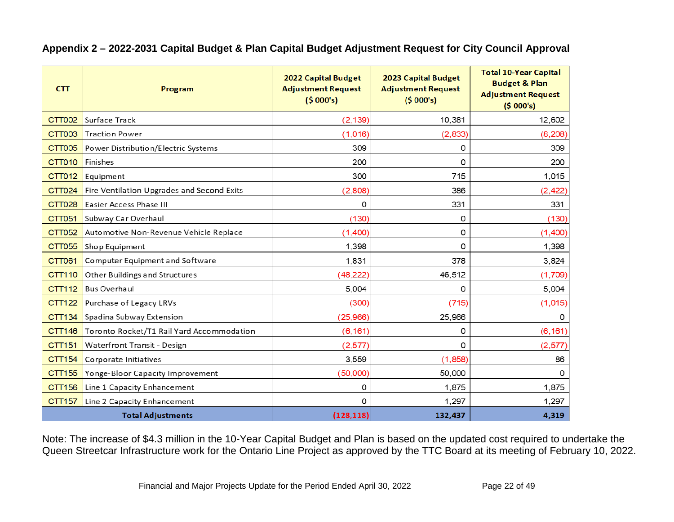| Appendix 2 – 2022-2031 Capital Budget & Plan Capital Budget Adjustment Request for City Council Approval |  |  |  |  |  |
|----------------------------------------------------------------------------------------------------------|--|--|--|--|--|
|----------------------------------------------------------------------------------------------------------|--|--|--|--|--|

| <b>CTT</b>    | Program                                    | 2022 Capital Budget<br><b>Adjustment Request</b><br>(5000's) | 2023 Capital Budget<br><b>Adjustment Request</b><br>(5000's) | <b>Total 10-Year Capital</b><br><b>Budget &amp; Plan</b><br><b>Adjustment Request</b><br>(5000's) |
|---------------|--------------------------------------------|--------------------------------------------------------------|--------------------------------------------------------------|---------------------------------------------------------------------------------------------------|
| <b>CTT002</b> | Surface Track                              | (2, 139)                                                     | 10,381                                                       | 12,602                                                                                            |
| <b>CTT003</b> | <b>Traction Power</b>                      | (1,016)                                                      | (2, 833)                                                     | (8, 208)                                                                                          |
| <b>CTT005</b> | Power Distribution/Electric Systems        | 309                                                          | 0                                                            | 309                                                                                               |
| <b>CTT010</b> | Finishes                                   | 200                                                          | 0                                                            | 200                                                                                               |
| CTT012        | Equipment                                  | 300                                                          | 715                                                          | 1,015                                                                                             |
| CTT024        | Fire Ventilation Upgrades and Second Exits | (2,808)                                                      | 386                                                          | (2, 422)                                                                                          |
| <b>CTT028</b> | Easier Access Phase III                    | 0                                                            | 331                                                          | 331                                                                                               |
| CTT051        | Subway Car Overhaul                        | (130)                                                        | 0                                                            | (130)                                                                                             |
| CTT052        | Automotive Non-Revenue Vehicle Replace     | (1,400)                                                      | 0                                                            | (1,400)                                                                                           |
| CTT055        | Shop Equipment                             | 1,398                                                        | 0                                                            | 1,398                                                                                             |
| CTT061        | Computer Equipment and Software            | 1,831                                                        | 378                                                          | 3,824                                                                                             |
| CTT110        | Other Buildings and Structures             | (48, 222)                                                    | 46,512                                                       | (1,709)                                                                                           |
| CTT112        | <b>Bus Overhaul</b>                        | 5,004                                                        | 0                                                            | 5,004                                                                                             |
| <b>CTT122</b> | Purchase of Legacy LRVs                    | (300)                                                        | (715)                                                        | (1,015)                                                                                           |
| CTT134        | Spadina Subway Extension                   | (25,966)                                                     | 25,966                                                       | 0                                                                                                 |
| CTT146        | Toronto Rocket/T1 Rail Yard Accommodation  | (6, 161)                                                     | 0                                                            | (6, 161)                                                                                          |
| CTT151        | Waterfront Transit - Design                | (2, 577)                                                     | 0                                                            | (2, 577)                                                                                          |
| CTT154        | Corporate Initiatives                      | 3,559                                                        | (1, 858)                                                     | 86                                                                                                |
| CTT155        | Yonge-Bloor Capacity Improvement           | (50,000)                                                     | 50,000                                                       | $\Omega$                                                                                          |
| CTT156        | Line 1 Capacity Enhancement                | 0                                                            | 1,875                                                        | 1,875                                                                                             |
| CTT157        | Line 2 Capacity Enhancement                | 0                                                            | 1,297                                                        | 1,297                                                                                             |
|               | <b>Total Adjustments</b>                   | (128, 118)                                                   | 132,437                                                      | 4,319                                                                                             |

Note: The increase of \$4.3 million in the 10-Year Capital Budget and Plan is based on the updated cost required to undertake the Queen Streetcar Infrastructure work for the Ontario Line Project as approved by the TTC Board at its meeting of February 10, 2022.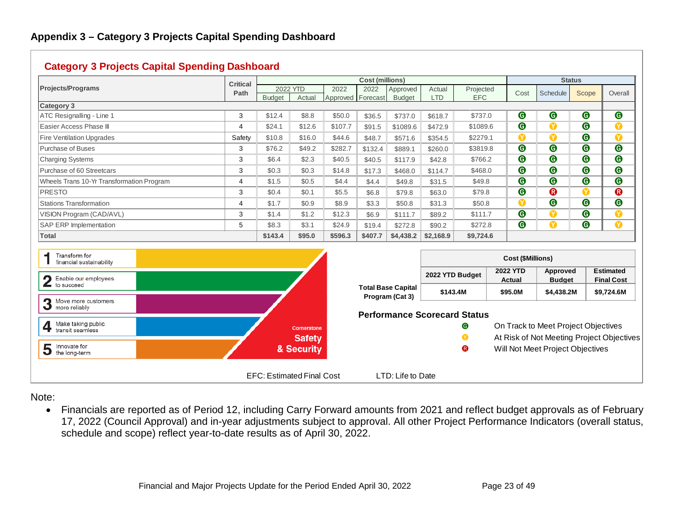|                                           | <b>Critical</b> | <b>Cost (millions)</b> |          |                   |         |               |            |            | <b>Status</b> |             |            |              |
|-------------------------------------------|-----------------|------------------------|----------|-------------------|---------|---------------|------------|------------|---------------|-------------|------------|--------------|
| <b>Projects/Programs</b>                  | Path            |                        | 2022 YTD | 2022              | 2022    | Approved      | Actual     | Projected  | Cost          | Schedule    | Scope      | Overall      |
|                                           |                 | <b>Budget</b>          | Actual   | Approved Forecast |         | <b>Budget</b> | <b>LTD</b> | <b>EFC</b> |               |             |            |              |
| <b>Category 3</b>                         |                 |                        |          |                   |         |               |            |            |               |             |            |              |
| ATC Resignalling - Line 1                 | 3               | \$12.4                 | \$8.8    | \$50.0            | \$36.5  | \$737.0       | \$618.7    | \$737.0    | $\bullet$     | $\bullet$   | $\bigcirc$ | $\bullet$    |
| Easier Access Phase III                   | 4               | \$24.1                 | \$12.6   | \$107.7           | \$91.5  | \$1089.6      | \$472.9    | \$1089.6   | $\bullet$     | $\bullet$   | $\bullet$  | $\bullet$    |
| <b>Fire Ventilation Upgrades</b>          | Safety          | \$10.8                 | \$16.0   | \$44.6            | \$48.7  | \$571.6       | \$354.5    | \$2279.1   | $\bullet$     | $\bullet$   | $\bullet$  | ◐            |
| Purchase of Buses                         | 3               | \$76.2                 | \$49.2   | \$282.7           | \$132.4 | \$889.1       | \$260.0    | \$3819.8   | $\bullet$     | $\bullet$   | $\bigcirc$ | $\bullet$    |
| <b>Charging Systems</b>                   | 3               | \$6.4                  | \$2.3    | \$40.5            | \$40.5  | \$117.9       | \$42.8     | \$766.2    | $\bullet$     | $\bullet$   | $\bullet$  | $\bullet$    |
| Purchase of 60 Streetcars                 | 3               | \$0.3                  | \$0.3    | \$14.8            | \$17.3  | \$468.0       | \$114.7    | \$468.0    | $\bullet$     | $\bullet$   | $\bullet$  | $\bullet$    |
| Wheels Trans 10-Yr Transformation Program | 4               | \$1.5                  | \$0.5    | \$4.4             | \$4.4   | \$49.8        | \$31.5     | \$49.8     | $\bullet$     | $\bullet$   | $\bigcirc$ | $\bullet$    |
| <b>PRESTO</b>                             | 3               | \$0.4                  | \$0.1    | \$5.5             | \$6.8   | \$79.8        | \$63.0     | \$79.8     | $\bullet$     | $\mathbf G$ | $\bullet$  | $\mathbf{G}$ |
| Stations Transformation                   | 4               | \$1.7                  | \$0.9    | \$8.9             | \$3.3   | \$50.8        | \$31.3     | \$50.8     | $\bullet$     | $\bullet$   | $\bullet$  | $\bullet$    |
| VISION Program (CAD/AVL)                  | 3               | \$1.4                  | \$1.2    | \$12.3            | \$6.9   | \$111.7       | \$89.2     | \$111.7    | $\bullet$     | $\bullet$   | $\bullet$  | $\bullet$    |
| <b>SAP ERP Implementation</b>             | 5               | \$8.3                  | \$3.1    | \$24.9            | \$19.4  | \$272.8       | \$90.2     | \$272.8    | $\bullet$     | $\bullet$   | $\bigcirc$ | $\bullet$    |
| Total                                     |                 | \$143.4                | \$95.0   | \$596.3           | \$407.7 | \$4,438.2     | \$2,168.9  | \$9,724.6  |               |             |            |              |





Note:

• Financials are reported as of Period 12, including Carry Forward amounts from 2021 and reflect budget approvals as of February 17, 2022 (Council Approval) and in-year adjustments subject to approval. All other Project Performance Indicators (overall status, schedule and scope) reflect year-to-date results as of April 30, 2022.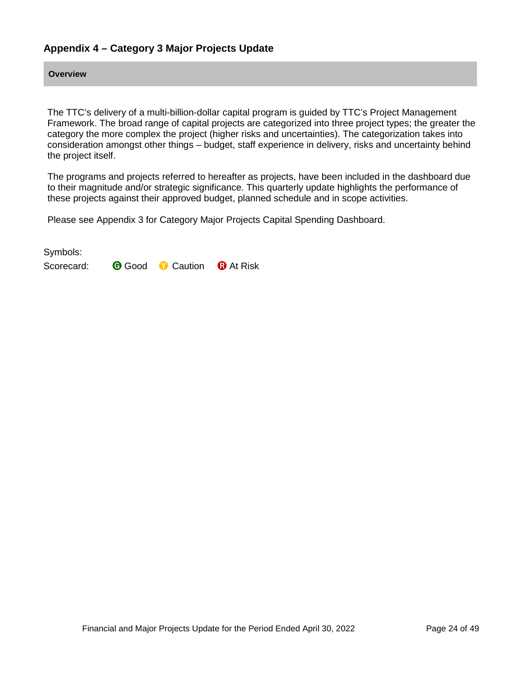### **Appendix 4 – Category 3 Major Projects Update**

**Overview**

The TTC's delivery of a multi-billion-dollar capital program is guided by TTC's Project Management Framework. The broad range of capital projects are categorized into three project types; the greater the category the more complex the project (higher risks and uncertainties). The categorization takes into consideration amongst other things – budget, staff experience in delivery, risks and uncertainty behind the project itself.

The programs and projects referred to hereafter as projects, have been included in the dashboard due to their magnitude and/or strategic significance. This quarterly update highlights the performance of these projects against their approved budget, planned schedule and in scope activities.

Please see Appendix 3 for Category Major Projects Capital Spending Dashboard.

Symbols:

Scorecard: **G** Good **M** Caution **Q** At Risk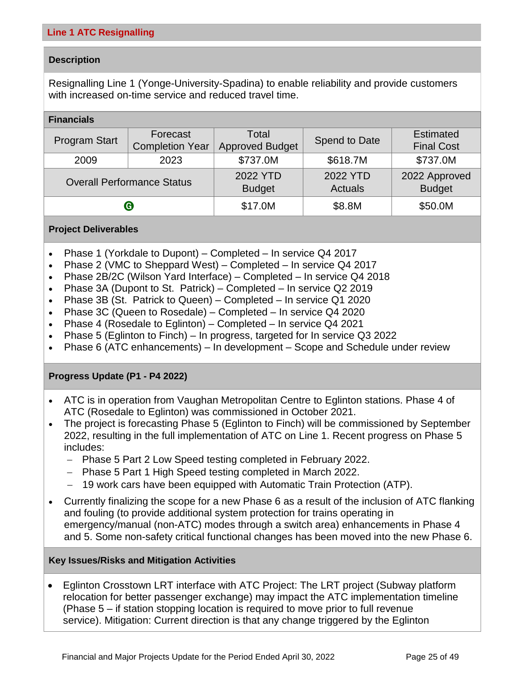Resignalling Line 1 (Yonge-University-Spadina) to enable reliability and provide customers with increased on-time service and reduced travel time.

| <b>Financials</b>                 |                        |                        |                |                   |
|-----------------------------------|------------------------|------------------------|----------------|-------------------|
| <b>Program Start</b>              | Forecast               | Total                  | Spend to Date  | <b>Estimated</b>  |
|                                   | <b>Completion Year</b> | <b>Approved Budget</b> |                | <b>Final Cost</b> |
| 2009                              | 2023                   | \$737.0M               | \$618.7M       | \$737.0M          |
| <b>Overall Performance Status</b> |                        | 2022 YTD               | 2022 YTD       | 2022 Approved     |
|                                   |                        | <b>Budget</b>          | <b>Actuals</b> | <b>Budget</b>     |
|                                   | ❻                      | \$17.0M                | \$8.8M         | \$50.0M           |

#### **Project Deliverables**

- Phase 1 (Yorkdale to Dupont) Completed In service Q4 2017
- Phase 2 (VMC to Sheppard West) Completed In service Q4 2017
- Phase 2B/2C (Wilson Yard Interface) Completed In service Q4 2018
- Phase 3A (Dupont to St. Patrick) Completed In service Q2 2019
- Phase 3B (St. Patrick to Queen) Completed In service Q1 2020
- Phase 3C (Queen to Rosedale) Completed In service Q4 2020
- Phase 4 (Rosedale to Eglinton) Completed In service Q4 2021
- Phase 5 (Eglinton to Finch) In progress, targeted for In service Q3 2022
- Phase 6 (ATC enhancements) In development Scope and Schedule under review

#### **Progress Update (P1 - P4 2022)**

- ATC is in operation from Vaughan Metropolitan Centre to Eglinton stations. Phase 4 of ATC (Rosedale to Eglinton) was commissioned in October 2021.
- The project is forecasting Phase 5 (Eglinton to Finch) will be commissioned by September 2022, resulting in the full implementation of ATC on Line 1. Recent progress on Phase 5 includes:
	- − Phase 5 Part 2 Low Speed testing completed in February 2022.
	- − Phase 5 Part 1 High Speed testing completed in March 2022.
	- 19 work cars have been equipped with Automatic Train Protection (ATP).
- Currently finalizing the scope for a new Phase 6 as a result of the inclusion of ATC flanking and fouling (to provide additional system protection for trains operating in emergency/manual (non-ATC) modes through a switch area) enhancements in Phase 4 and 5. Some non-safety critical functional changes has been moved into the new Phase 6.

#### **Key Issues/Risks and Mitigation Activities**

• Eglinton Crosstown LRT interface with ATC Project: The LRT project (Subway platform relocation for better passenger exchange) may impact the ATC implementation timeline (Phase 5 – if station stopping location is required to move prior to full revenue service). Mitigation: Current direction is that any change triggered by the Eglinton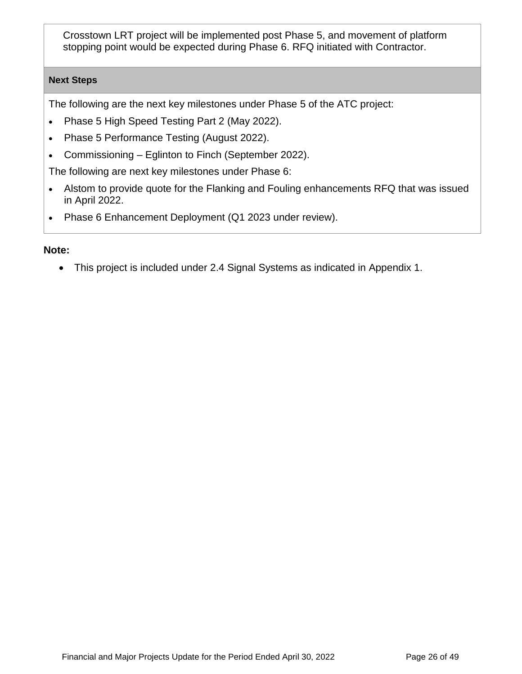Crosstown LRT project will be implemented post Phase 5, and movement of platform stopping point would be expected during Phase 6. RFQ initiated with Contractor.

### **Next Steps**

The following are the next key milestones under Phase 5 of the ATC project:

- Phase 5 High Speed Testing Part 2 (May 2022).
- Phase 5 Performance Testing (August 2022).
- Commissioning Eglinton to Finch (September 2022).

The following are next key milestones under Phase 6:

- Alstom to provide quote for the Flanking and Fouling enhancements RFQ that was issued in April 2022.
- Phase 6 Enhancement Deployment (Q1 2023 under review).

### **Note:**

• This project is included under 2.4 Signal Systems as indicated in Appendix 1.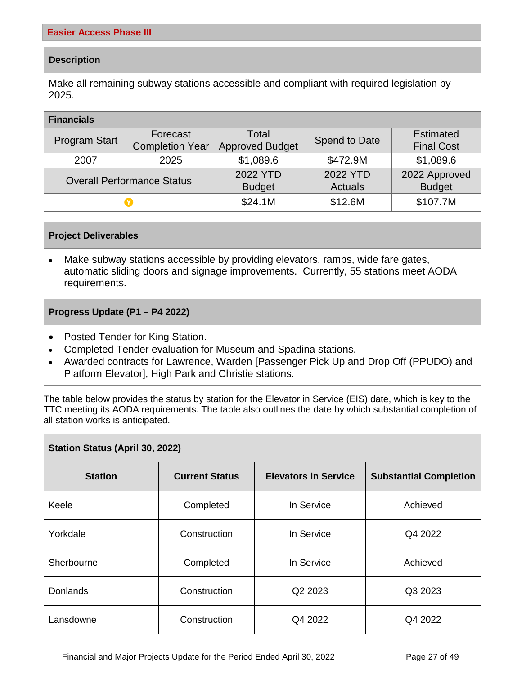Make all remaining subway stations accessible and compliant with required legislation by 2025.

#### **Financials**

| <b>Program Start</b>              | Forecast<br><b>Completion Year</b> | Total<br><b>Approved Budget</b> | Spend to Date  | <b>Estimated</b><br><b>Final Cost</b> |
|-----------------------------------|------------------------------------|---------------------------------|----------------|---------------------------------------|
|                                   |                                    |                                 |                |                                       |
| 2007                              | 2025                               | \$1,089.6                       | \$472.9M       | \$1,089.6                             |
| <b>Overall Performance Status</b> |                                    | 2022 YTD                        | 2022 YTD       | 2022 Approved                         |
|                                   |                                    | <b>Budget</b>                   | <b>Actuals</b> | <b>Budget</b>                         |
|                                   | Y                                  | \$24.1M                         | \$12.6M        | \$107.7M                              |

#### **Project Deliverables**

• Make subway stations accessible by providing elevators, ramps, wide fare gates, automatic sliding doors and signage improvements. Currently, 55 stations meet AODA requirements.

#### **Progress Update (P1 – P4 2022)**

- Posted Tender for King Station.
- Completed Tender evaluation for Museum and Spadina stations.
- Awarded contracts for Lawrence, Warden [Passenger Pick Up and Drop Off (PPUDO) and Platform Elevator], High Park and Christie stations.

The table below provides the status by station for the Elevator in Service (EIS) date, which is key to the TTC meeting its AODA requirements. The table also outlines the date by which substantial completion of all station works is anticipated.

| Station Status (April 30, 2022) |                       |                             |                               |  |  |  |  |
|---------------------------------|-----------------------|-----------------------------|-------------------------------|--|--|--|--|
| <b>Station</b>                  | <b>Current Status</b> | <b>Elevators in Service</b> | <b>Substantial Completion</b> |  |  |  |  |
| Keele                           | Completed             | In Service                  | Achieved                      |  |  |  |  |
| Yorkdale                        | Construction          | In Service                  | Q4 2022                       |  |  |  |  |
| Sherbourne                      | Completed             | In Service                  | Achieved                      |  |  |  |  |
| <b>Donlands</b>                 | Construction          | Q2 2023                     | Q3 2023                       |  |  |  |  |
| Lansdowne                       | Construction          | Q4 2022                     | Q4 2022                       |  |  |  |  |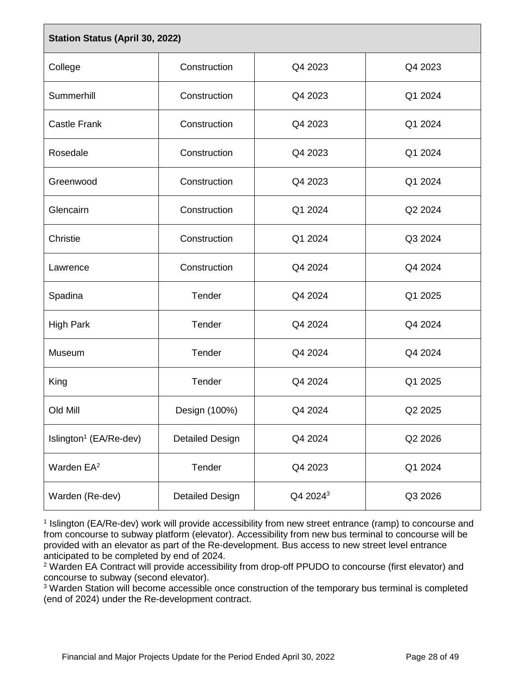| Station Status (April 30, 2022)    |                        |                      |         |  |  |
|------------------------------------|------------------------|----------------------|---------|--|--|
| College                            | Construction           | Q4 2023              | Q4 2023 |  |  |
| Summerhill                         | Construction           | Q4 2023              | Q1 2024 |  |  |
| <b>Castle Frank</b>                | Construction           | Q4 2023              | Q1 2024 |  |  |
| Rosedale                           | Construction           | Q4 2023              | Q1 2024 |  |  |
| Greenwood                          | Construction           | Q4 2023              | Q1 2024 |  |  |
| Glencairn                          | Construction           | Q1 2024              | Q2 2024 |  |  |
| Christie                           | Construction           | Q1 2024              | Q3 2024 |  |  |
| Lawrence                           | Construction           | Q4 2024              | Q4 2024 |  |  |
| Spadina                            | Tender                 | Q4 2024              | Q1 2025 |  |  |
| <b>High Park</b>                   | Tender                 | Q4 2024              | Q4 2024 |  |  |
| Museum                             | Tender                 | Q4 2024              | Q4 2024 |  |  |
| King                               | Tender                 | Q4 2024              | Q1 2025 |  |  |
| Old Mill                           | Design (100%)          | Q4 2024              | Q2 2025 |  |  |
| Islington <sup>1</sup> (EA/Re-dev) | <b>Detailed Design</b> | Q4 2024              | Q2 2026 |  |  |
| Warden EA <sup>2</sup>             | Tender                 | Q4 2023              | Q1 2024 |  |  |
| Warden (Re-dev)                    | <b>Detailed Design</b> | Q4 2024 <sup>3</sup> | Q3 2026 |  |  |

<sup>1</sup> Islington (EA/Re-dev) work will provide accessibility from new street entrance (ramp) to concourse and from concourse to subway platform (elevator). Accessibility from new bus terminal to concourse will be provided with an elevator as part of the Re-development. Bus access to new street level entrance anticipated to be completed by end of 2024.

<sup>2</sup> Warden EA Contract will provide accessibility from drop-off PPUDO to concourse (first elevator) and concourse to subway (second elevator).

<sup>3</sup> Warden Station will become accessible once construction of the temporary bus terminal is completed (end of 2024) under the Re-development contract.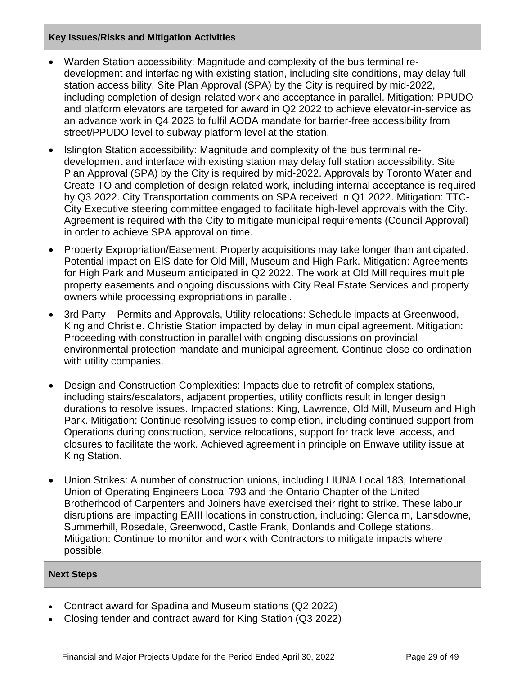#### **Key Issues/Risks and Mitigation Activities**

- Warden Station accessibility: Magnitude and complexity of the bus terminal redevelopment and interfacing with existing station, including site conditions, may delay full station accessibility. Site Plan Approval (SPA) by the City is required by mid-2022, including completion of design-related work and acceptance in parallel. Mitigation: PPUDO and platform elevators are targeted for award in Q2 2022 to achieve elevator-in-service as an advance work in Q4 2023 to fulfil AODA mandate for barrier-free accessibility from street/PPUDO level to subway platform level at the station.
- Islington Station accessibility: Magnitude and complexity of the bus terminal redevelopment and interface with existing station may delay full station accessibility. Site Plan Approval (SPA) by the City is required by mid-2022. Approvals by Toronto Water and Create TO and completion of design-related work, including internal acceptance is required by Q3 2022. City Transportation comments on SPA received in Q1 2022. Mitigation: TTC-City Executive steering committee engaged to facilitate high-level approvals with the City. Agreement is required with the City to mitigate municipal requirements (Council Approval) in order to achieve SPA approval on time.
- Property Expropriation/Easement: Property acquisitions may take longer than anticipated. Potential impact on EIS date for Old Mill, Museum and High Park. Mitigation: Agreements for High Park and Museum anticipated in Q2 2022. The work at Old Mill requires multiple property easements and ongoing discussions with City Real Estate Services and property owners while processing expropriations in parallel.
- 3rd Party Permits and Approvals, Utility relocations: Schedule impacts at Greenwood, King and Christie. Christie Station impacted by delay in municipal agreement. Mitigation: Proceeding with construction in parallel with ongoing discussions on provincial environmental protection mandate and municipal agreement. Continue close co-ordination with utility companies.
- Design and Construction Complexities: Impacts due to retrofit of complex stations, including stairs/escalators, adjacent properties, utility conflicts result in longer design durations to resolve issues. Impacted stations: King, Lawrence, Old Mill, Museum and High Park. Mitigation: Continue resolving issues to completion, including continued support from Operations during construction, service relocations, support for track level access, and closures to facilitate the work. Achieved agreement in principle on Enwave utility issue at King Station.
- Union Strikes: A number of construction unions, including LIUNA Local 183, International Union of Operating Engineers Local 793 and the Ontario Chapter of the United Brotherhood of Carpenters and Joiners have exercised their right to strike. These labour disruptions are impacting EAIII locations in construction, including: Glencairn, Lansdowne, Summerhill, Rosedale, Greenwood, Castle Frank, Donlands and College stations. Mitigation: Continue to monitor and work with Contractors to mitigate impacts where possible.

### **Next Steps**

- Contract award for Spadina and Museum stations (Q2 2022)
- Closing tender and contract award for King Station (Q3 2022)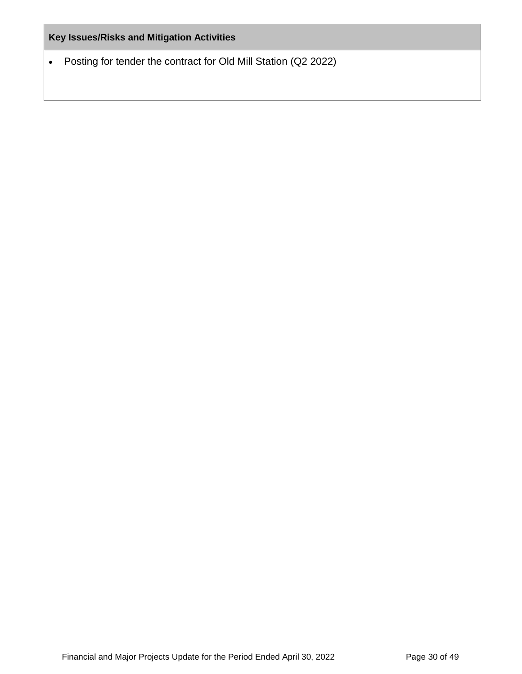# **Key Issues/Risks and Mitigation Activities**

• Posting for tender the contract for Old Mill Station (Q2 2022)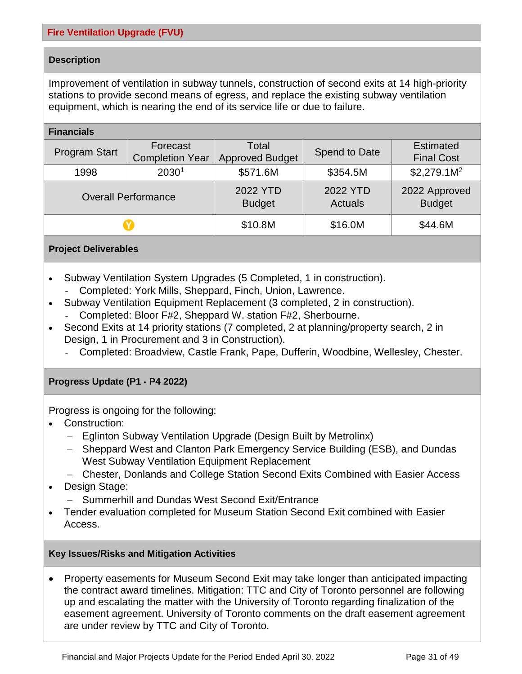Improvement of ventilation in subway tunnels, construction of second exits at 14 high-priority stations to provide second means of egress, and replace the existing subway ventilation equipment, which is nearing the end of its service life or due to failure.

| <b>Financials</b>          |                                    |                                 |                            |                                       |  |
|----------------------------|------------------------------------|---------------------------------|----------------------------|---------------------------------------|--|
| <b>Program Start</b>       | Forecast<br><b>Completion Year</b> | Total<br><b>Approved Budget</b> | Spend to Date              | <b>Estimated</b><br><b>Final Cost</b> |  |
| 1998                       | 20301                              | \$571.6M                        | \$354.5M                   | \$2,279.1M <sup>2</sup>               |  |
| <b>Overall Performance</b> |                                    | 2022 YTD<br><b>Budget</b>       | 2022 YTD<br><b>Actuals</b> | 2022 Approved<br><b>Budget</b>        |  |
|                            |                                    | \$10.8M                         | \$16.0M                    | \$44.6M                               |  |

#### **Project Deliverables**

- Subway Ventilation System Upgrades (5 Completed, 1 in construction). - Completed: York Mills, Sheppard, Finch, Union, Lawrence.
- Subway Ventilation Equipment Replacement (3 completed, 2 in construction).
	- Completed: Bloor F#2, Sheppard W. station F#2, Sherbourne.
- Second Exits at 14 priority stations (7 completed, 2 at planning/property search, 2 in Design, 1 in Procurement and 3 in Construction).
	- Completed: Broadview, Castle Frank, Pape, Dufferin, Woodbine, Wellesley, Chester.

#### **Progress Update (P1 - P4 2022)**

Progress is ongoing for the following:

- Construction:
	- − Eglinton Subway Ventilation Upgrade (Design Built by Metrolinx)
	- − Sheppard West and Clanton Park Emergency Service Building (ESB), and Dundas West Subway Ventilation Equipment Replacement
	- − Chester, Donlands and College Station Second Exits Combined with Easier Access
- Design Stage:
	- − Summerhill and Dundas West Second Exit/Entrance
- Tender evaluation completed for Museum Station Second Exit combined with Easier Access.

#### **Key Issues/Risks and Mitigation Activities**

• Property easements for Museum Second Exit may take longer than anticipated impacting the contract award timelines. Mitigation: TTC and City of Toronto personnel are following up and escalating the matter with the University of Toronto regarding finalization of the easement agreement. University of Toronto comments on the draft easement agreement are under review by TTC and City of Toronto.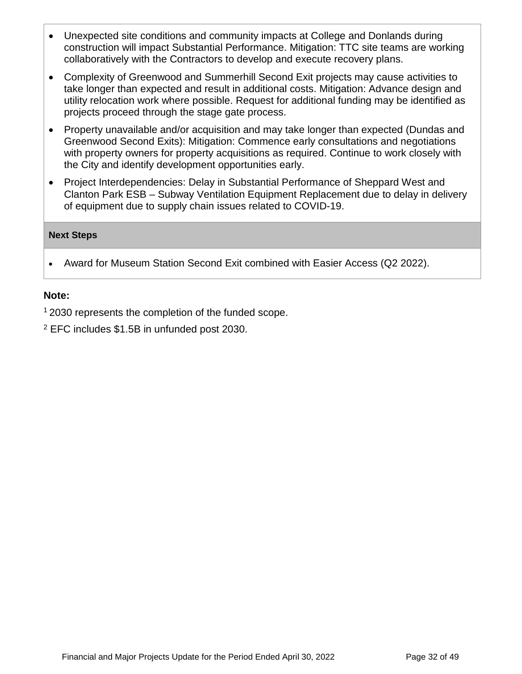- Unexpected site conditions and community impacts at College and Donlands during construction will impact Substantial Performance. Mitigation: TTC site teams are working collaboratively with the Contractors to develop and execute recovery plans.
- Complexity of Greenwood and Summerhill Second Exit projects may cause activities to take longer than expected and result in additional costs. Mitigation: Advance design and utility relocation work where possible. Request for additional funding may be identified as projects proceed through the stage gate process.
- Property unavailable and/or acquisition and may take longer than expected (Dundas and Greenwood Second Exits): Mitigation: Commence early consultations and negotiations with property owners for property acquisitions as required. Continue to work closely with the City and identify development opportunities early.
- Project Interdependencies: Delay in Substantial Performance of Sheppard West and Clanton Park ESB – Subway Ventilation Equipment Replacement due to delay in delivery of equipment due to supply chain issues related to COVID-19.

### **Next Steps**

• Award for Museum Station Second Exit combined with Easier Access (Q2 2022).

### **Note:**

<sup>1</sup> 2030 represents the completion of the funded scope.

<sup>2</sup> EFC includes \$1.5B in unfunded post 2030.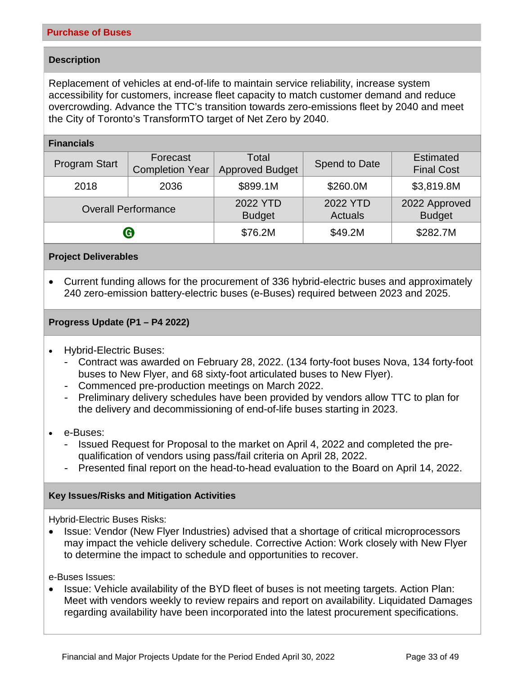Replacement of vehicles at end-of-life to maintain service reliability, increase system accessibility for customers, increase fleet capacity to match customer demand and reduce overcrowding. Advance the TTC's transition towards zero-emissions fleet by 2040 and meet the City of Toronto's TransformTO target of Net Zero by 2040.

#### **Financials**

| <b>Program Start</b>       | Forecast<br><b>Completion Year</b> | Total<br><b>Approved Budget</b> | Spend to Date              | <b>Estimated</b><br><b>Final Cost</b> |
|----------------------------|------------------------------------|---------------------------------|----------------------------|---------------------------------------|
| 2018                       | 2036                               | \$899.1M                        | \$260.0M                   | \$3,819.8M                            |
| <b>Overall Performance</b> |                                    | 2022 YTD<br><b>Budget</b>       | 2022 YTD<br><b>Actuals</b> | 2022 Approved<br><b>Budget</b>        |
| $\boldsymbol{\Theta}$      |                                    | \$76.2M                         | \$49.2M                    | \$282.7M                              |

#### **Project Deliverables**

• Current funding allows for the procurement of 336 hybrid-electric buses and approximately 240 zero-emission battery-electric buses (e-Buses) required between 2023 and 2025.

#### **Progress Update (P1 – P4 2022)**

- Hybrid-Electric Buses:
	- Contract was awarded on February 28, 2022. (134 forty-foot buses Nova, 134 forty-foot buses to New Flyer, and 68 sixty-foot articulated buses to New Flyer).
	- Commenced pre-production meetings on March 2022.
	- Preliminary delivery schedules have been provided by vendors allow TTC to plan for the delivery and decommissioning of end-of-life buses starting in 2023.
- e-Buses:
	- Issued Request for Proposal to the market on April 4, 2022 and completed the prequalification of vendors using pass/fail criteria on April 28, 2022.
	- Presented final report on the head-to-head evaluation to the Board on April 14, 2022.

#### **Key Issues/Risks and Mitigation Activities**

Hybrid-Electric Buses Risks:

• Issue: Vendor (New Flyer Industries) advised that a shortage of critical microprocessors may impact the vehicle delivery schedule. Corrective Action: Work closely with New Flyer to determine the impact to schedule and opportunities to recover.

e-Buses Issues:

• Issue: Vehicle availability of the BYD fleet of buses is not meeting targets. Action Plan: Meet with vendors weekly to review repairs and report on availability. Liquidated Damages regarding availability have been incorporated into the latest procurement specifications.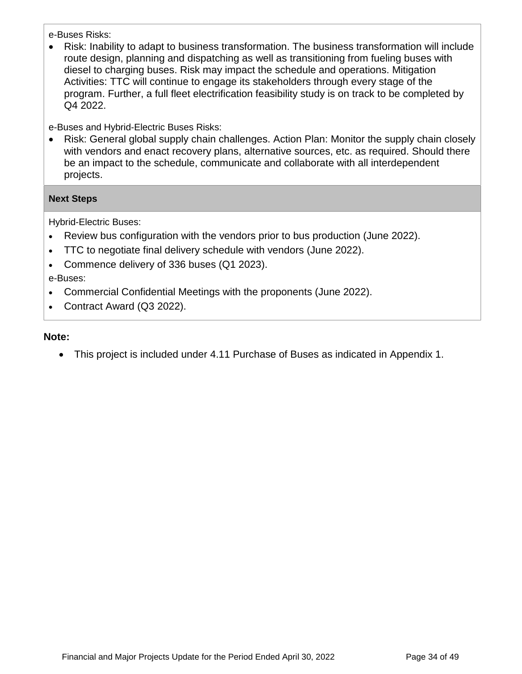e-Buses Risks:

• Risk: Inability to adapt to business transformation. The business transformation will include route design, planning and dispatching as well as transitioning from fueling buses with diesel to charging buses. Risk may impact the schedule and operations. Mitigation Activities: TTC will continue to engage its stakeholders through every stage of the program. Further, a full fleet electrification feasibility study is on track to be completed by Q4 2022.

e-Buses and Hybrid-Electric Buses Risks:

• Risk: General global supply chain challenges. Action Plan: Monitor the supply chain closely with vendors and enact recovery plans, alternative sources, etc. as required. Should there be an impact to the schedule, communicate and collaborate with all interdependent projects.

# **Next Steps**

Hybrid-Electric Buses:

- Review bus configuration with the vendors prior to bus production (June 2022).
- TTC to negotiate final delivery schedule with vendors (June 2022).
- Commence delivery of 336 buses (Q1 2023).

e-Buses:

- Commercial Confidential Meetings with the proponents (June 2022).
- Contract Award (Q3 2022).

# **Note:**

• This project is included under 4.11 Purchase of Buses as indicated in Appendix 1.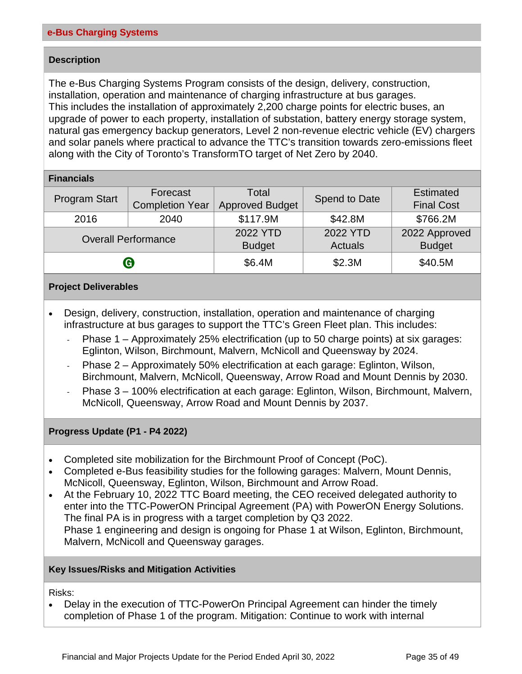The e-Bus Charging Systems Program consists of the design, delivery, construction, installation, operation and maintenance of charging infrastructure at bus garages. This includes the installation of approximately 2,200 charge points for electric buses, an upgrade of power to each property, installation of substation, battery energy storage system, natural gas emergency backup generators, Level 2 non-revenue electric vehicle (EV) chargers and solar panels where practical to advance the TTC's transition towards zero-emissions fleet along with the City of Toronto's TransformTO target of Net Zero by 2040.

| <b>Financials</b>          |                        |                        |                |                   |
|----------------------------|------------------------|------------------------|----------------|-------------------|
|                            | Forecast               | Total                  | Spend to Date  | <b>Estimated</b>  |
| <b>Program Start</b>       | <b>Completion Year</b> | <b>Approved Budget</b> |                | <b>Final Cost</b> |
| 2016                       | 2040                   | \$117.9M               | \$42.8M        | \$766.2M          |
| <b>Overall Performance</b> |                        | 2022 YTD               | 2022 YTD       | 2022 Approved     |
|                            |                        | <b>Budget</b>          | <b>Actuals</b> | <b>Budget</b>     |
| $\boldsymbol{\Theta}$      |                        | \$6.4M                 | \$2.3M         | \$40.5M           |

#### **Project Deliverables**

- Design, delivery, construction, installation, operation and maintenance of charging infrastructure at bus garages to support the TTC's Green Fleet plan. This includes:
	- Phase 1 Approximately 25% electrification (up to 50 charge points) at six garages: Eglinton, Wilson, Birchmount, Malvern, McNicoll and Queensway by 2024.
	- Phase 2 Approximately 50% electrification at each garage: Eglinton, Wilson, Birchmount, Malvern, McNicoll, Queensway, Arrow Road and Mount Dennis by 2030.
	- Phase 3 100% electrification at each garage: Eglinton, Wilson, Birchmount, Malvern, McNicoll, Queensway, Arrow Road and Mount Dennis by 2037.

#### **Progress Update (P1 - P4 2022)**

- Completed site mobilization for the Birchmount Proof of Concept (PoC).
- Completed e-Bus feasibility studies for the following garages: Malvern, Mount Dennis, McNicoll, Queensway, Eglinton, Wilson, Birchmount and Arrow Road.
- At the February 10, 2022 TTC Board meeting, the CEO received delegated authority to enter into the TTC-PowerON Principal Agreement (PA) with PowerON Energy Solutions. The final PA is in progress with a target completion by Q3 2022. Phase 1 engineering and design is ongoing for Phase 1 at Wilson, Eglinton, Birchmount, Malvern, McNicoll and Queensway garages.

#### **Key Issues/Risks and Mitigation Activities**

Risks:

• Delay in the execution of TTC-PowerOn Principal Agreement can hinder the timely completion of Phase 1 of the program. Mitigation: Continue to work with internal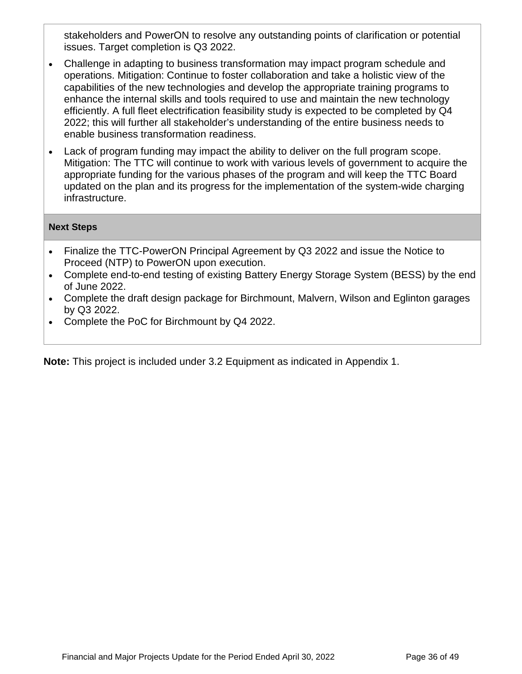stakeholders and PowerON to resolve any outstanding points of clarification or potential issues. Target completion is Q3 2022.

- Challenge in adapting to business transformation may impact program schedule and operations. Mitigation: Continue to foster collaboration and take a holistic view of the capabilities of the new technologies and develop the appropriate training programs to enhance the internal skills and tools required to use and maintain the new technology efficiently. A full fleet electrification feasibility study is expected to be completed by Q4 2022; this will further all stakeholder's understanding of the entire business needs to enable business transformation readiness.
- Lack of program funding may impact the ability to deliver on the full program scope. Mitigation: The TTC will continue to work with various levels of government to acquire the appropriate funding for the various phases of the program and will keep the TTC Board updated on the plan and its progress for the implementation of the system-wide charging infrastructure.

### **Next Steps**

- Finalize the TTC-PowerON Principal Agreement by Q3 2022 and issue the Notice to Proceed (NTP) to PowerON upon execution.
- Complete end-to-end testing of existing Battery Energy Storage System (BESS) by the end of June 2022.
- Complete the draft design package for Birchmount, Malvern, Wilson and Eglinton garages by Q3 2022.
- Complete the PoC for Birchmount by Q4 2022.

**Note:** This project is included under 3.2 Equipment as indicated in Appendix 1.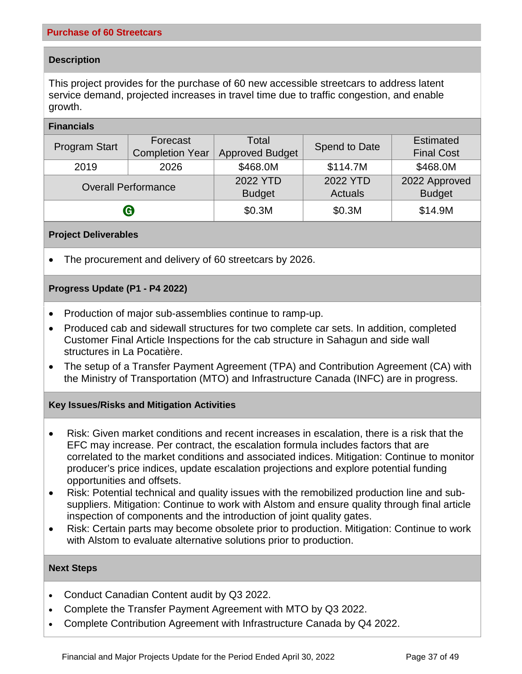a a s

This project provides for the purchase of 60 new accessible streetcars to address latent service demand, projected increases in travel time due to traffic congestion, and enable growth.

| <b>Financials</b>          |                        |                        |                |                   |
|----------------------------|------------------------|------------------------|----------------|-------------------|
|                            | Forecast               | Total                  | Spend to Date  | <b>Estimated</b>  |
| <b>Program Start</b>       | <b>Completion Year</b> | <b>Approved Budget</b> |                | <b>Final Cost</b> |
| 2019                       | 2026                   | \$468.0M               | \$114.7M       | \$468.0M          |
| <b>Overall Performance</b> |                        | 2022 YTD               | 2022 YTD       | 2022 Approved     |
|                            |                        | <b>Budget</b>          | <b>Actuals</b> | <b>Budget</b>     |
| $\boldsymbol{\Theta}$      |                        | \$0.3M                 | \$0.3M         | \$14.9M           |

#### **Project Deliverables**

• The procurement and delivery of 60 streetcars by 2026.

#### **Progress Update (P1 - P4 2022)**

- Production of major sub-assemblies continue to ramp-up.
- Produced cab and sidewall structures for two complete car sets. In addition, completed Customer Final Article Inspections for the cab structure in Sahagun and side wall structures in La Pocatière.
- The setup of a Transfer Payment Agreement (TPA) and Contribution Agreement (CA) with the Ministry of Transportation (MTO) and Infrastructure Canada (INFC) are in progress.

#### **Key Issues/Risks and Mitigation Activities**

- Risk: Given market conditions and recent increases in escalation, there is a risk that the EFC may increase. Per contract, the escalation formula includes factors that are correlated to the market conditions and associated indices. Mitigation: Continue to monitor producer's price indices, update escalation projections and explore potential funding opportunities and offsets.
- Risk: Potential technical and quality issues with the remobilized production line and subsuppliers. Mitigation: Continue to work with Alstom and ensure quality through final article inspection of components and the introduction of joint quality gates.
- Risk: Certain parts may become obsolete prior to production. Mitigation: Continue to work with Alstom to evaluate alternative solutions prior to production.

#### **Next Steps**

- Conduct Canadian Content audit by Q3 2022.
- Complete the Transfer Payment Agreement with MTO by Q3 2022.
- Complete Contribution Agreement with Infrastructure Canada by Q4 2022.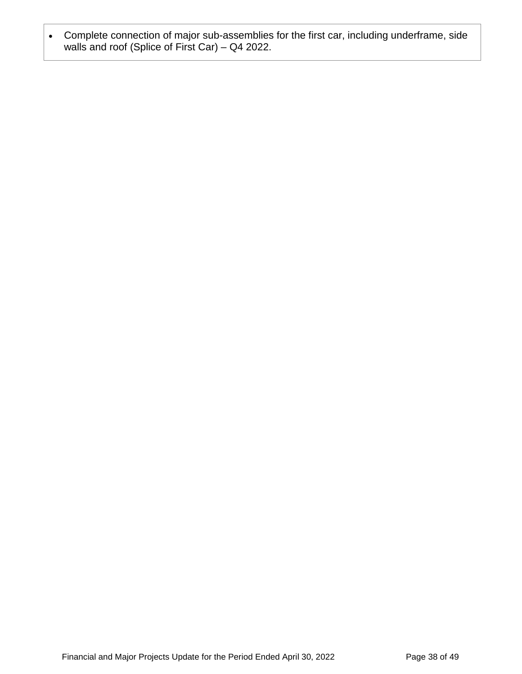• Complete connection of major sub-assemblies for the first car, including underframe, side walls and roof (Splice of First Car) – Q4 2022.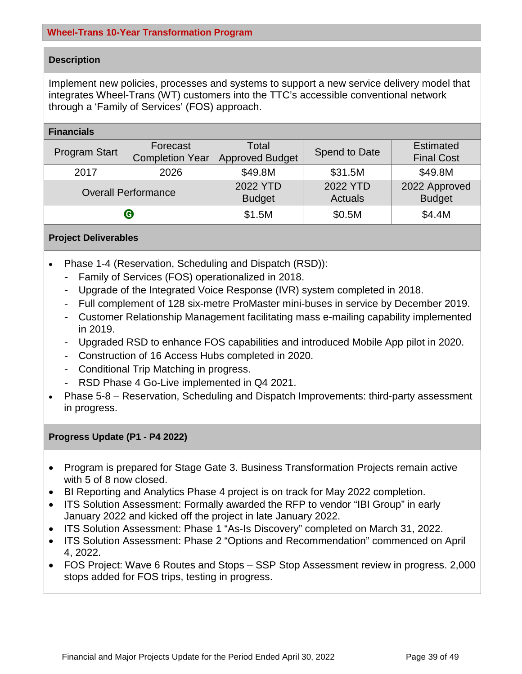Implement new policies, processes and systems to support a new service delivery model that integrates Wheel-Trans (WT) customers into the TTC's accessible conventional network through a 'Family of Services' (FOS) approach.

| <b>Financials</b>          |                        |                        |                |                   |
|----------------------------|------------------------|------------------------|----------------|-------------------|
| <b>Program Start</b>       | Forecast               | Total                  | Spend to Date  | <b>Estimated</b>  |
|                            | <b>Completion Year</b> | <b>Approved Budget</b> |                | <b>Final Cost</b> |
| 2017                       | 2026                   | \$49.8M                | \$31.5M        | \$49.8M           |
| <b>Overall Performance</b> |                        | 2022 YTD               | 2022 YTD       | 2022 Approved     |
|                            |                        | <b>Budget</b>          | <b>Actuals</b> | <b>Budget</b>     |
|                            | ❻                      | \$1.5M                 | \$0.5M         | \$4.4M            |

### **Project Deliverables**

- Phase 1-4 (Reservation, Scheduling and Dispatch (RSD)):
	- Family of Services (FOS) operationalized in 2018.
	- Upgrade of the Integrated Voice Response (IVR) system completed in 2018.
	- Full complement of 128 six-metre ProMaster mini-buses in service by December 2019.
	- Customer Relationship Management facilitating mass e-mailing capability implemented in 2019.
	- Upgraded RSD to enhance FOS capabilities and introduced Mobile App pilot in 2020.
	- Construction of 16 Access Hubs completed in 2020.
	- Conditional Trip Matching in progress.
	- RSD Phase 4 Go-Live implemented in Q4 2021.
- Phase 5-8 Reservation, Scheduling and Dispatch Improvements: third-party assessment in progress.

### **Progress Update (P1 - P4 2022)**

- Program is prepared for Stage Gate 3. Business Transformation Projects remain active with 5 of 8 now closed.
- BI Reporting and Analytics Phase 4 project is on track for May 2022 completion.
- ITS Solution Assessment: Formally awarded the RFP to vendor "IBI Group" in early January 2022 and kicked off the project in late January 2022.
- ITS Solution Assessment: Phase 1 "As-Is Discovery" completed on March 31, 2022.
- ITS Solution Assessment: Phase 2 "Options and Recommendation" commenced on April 4, 2022.
- FOS Project: Wave 6 Routes and Stops SSP Stop Assessment review in progress. 2,000 stops added for FOS trips, testing in progress.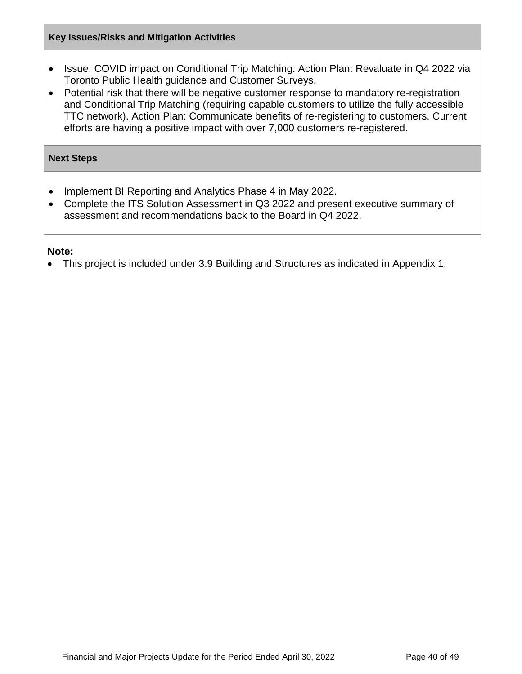#### **Key Issues/Risks and Mitigation Activities**

- Issue: COVID impact on Conditional Trip Matching. Action Plan: Revaluate in Q4 2022 via Toronto Public Health guidance and Customer Surveys.
- Potential risk that there will be negative customer response to mandatory re-registration and Conditional Trip Matching (requiring capable customers to utilize the fully accessible TTC network). Action Plan: Communicate benefits of re-registering to customers. Current efforts are having a positive impact with over 7,000 customers re-registered.

### **Next Steps**

- Implement BI Reporting and Analytics Phase 4 in May 2022.
- Complete the ITS Solution Assessment in Q3 2022 and present executive summary of assessment and recommendations back to the Board in Q4 2022.

### **Note:**

• This project is included under 3.9 Building and Structures as indicated in Appendix 1.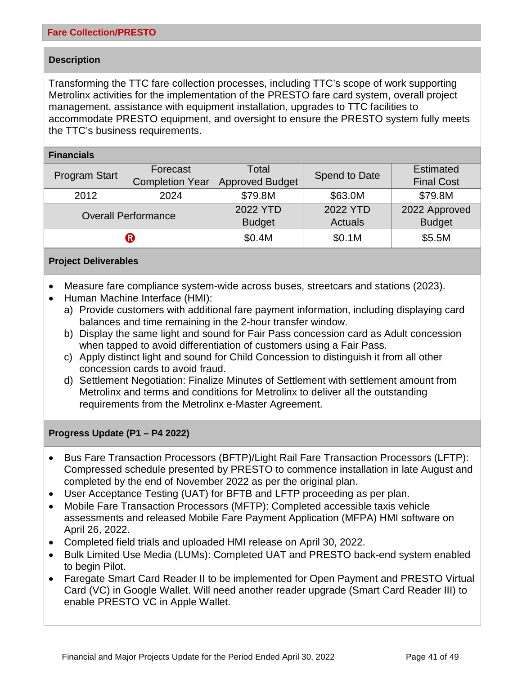Transforming the TTC fare collection processes, including TTC's scope of work supporting Metrolinx activities for the implementation of the PRESTO fare card system, overall project management, assistance with equipment installation, upgrades to TTC facilities to accommodate PRESTO equipment, and oversight to ensure the PRESTO system fully meets the TTC's business requirements.

| <b>Financials</b>          |                        |                        |                |                   |
|----------------------------|------------------------|------------------------|----------------|-------------------|
|                            | Forecast               | Total                  | Spend to Date  | <b>Estimated</b>  |
| <b>Program Start</b>       | <b>Completion Year</b> | <b>Approved Budget</b> |                | <b>Final Cost</b> |
| 2012                       | 2024                   | \$79.8M                | \$63.0M        | \$79.8M           |
| <b>Overall Performance</b> |                        | 2022 YTD               | 2022 YTD       | 2022 Approved     |
|                            |                        | <b>Budget</b>          | <b>Actuals</b> | <b>Budget</b>     |
| ®                          |                        | \$0.4M                 | \$0.1M         | \$5.5M            |

#### **Project Deliverables**

- Measure fare compliance system-wide across buses, streetcars and stations (2023).
- Human Machine Interface (HMI):
	- a) Provide customers with additional fare payment information, including displaying card balances and time remaining in the 2-hour transfer window.
	- b) Display the same light and sound for Fair Pass concession card as Adult concession when tapped to avoid differentiation of customers using a Fair Pass.
	- c) Apply distinct light and sound for Child Concession to distinguish it from all other concession cards to avoid fraud.
	- d) Settlement Negotiation: Finalize Minutes of Settlement with settlement amount from Metrolinx and terms and conditions for Metrolinx to deliver all the outstanding requirements from the Metrolinx e-Master Agreement.

#### **Progress Update (P1 – P4 2022)**

- Bus Fare Transaction Processors (BFTP)/Light Rail Fare Transaction Processors (LFTP): Compressed schedule presented by PRESTO to commence installation in late August and completed by the end of November 2022 as per the original plan.
- User Acceptance Testing (UAT) for BFTB and LFTP proceeding as per plan.
- Mobile Fare Transaction Processors (MFTP): Completed accessible taxis vehicle assessments and released Mobile Fare Payment Application (MFPA) HMI software on April 26, 2022.
- Completed field trials and uploaded HMI release on April 30, 2022.
- Bulk Limited Use Media (LUMs): Completed UAT and PRESTO back-end system enabled to begin Pilot.
- Faregate Smart Card Reader II to be implemented for Open Payment and PRESTO Virtual Card (VC) in Google Wallet. Will need another reader upgrade (Smart Card Reader III) to enable PRESTO VC in Apple Wallet.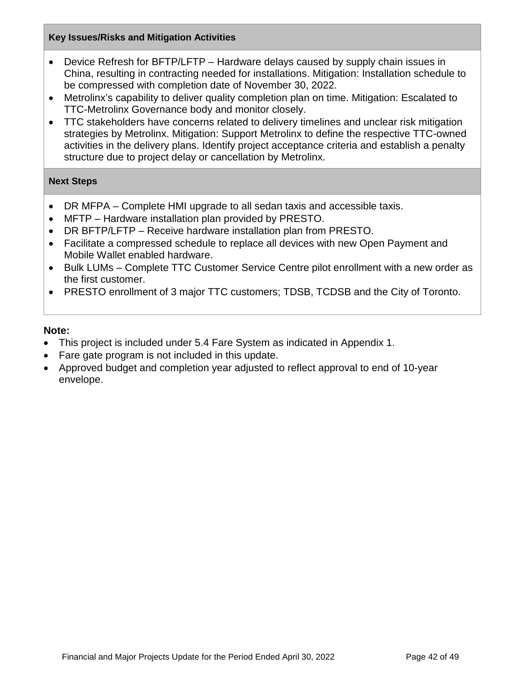### **Key Issues/Risks and Mitigation Activities**

- Device Refresh for BFTP/LFTP Hardware delays caused by supply chain issues in China, resulting in contracting needed for installations. Mitigation: Installation schedule to be compressed with completion date of November 30, 2022.
- Metrolinx's capability to deliver quality completion plan on time. Mitigation: Escalated to TTC-Metrolinx Governance body and monitor closely.
- TTC stakeholders have concerns related to delivery timelines and unclear risk mitigation strategies by Metrolinx. Mitigation: Support Metrolinx to define the respective TTC-owned activities in the delivery plans. Identify project acceptance criteria and establish a penalty structure due to project delay or cancellation by Metrolinx.

# **Next Steps**

- DR MFPA Complete HMI upgrade to all sedan taxis and accessible taxis.
- MFTP Hardware installation plan provided by PRESTO.
- DR BFTP/LFTP Receive hardware installation plan from PRESTO.
- Facilitate a compressed schedule to replace all devices with new Open Payment and Mobile Wallet enabled hardware.
- Bulk LUMs Complete TTC Customer Service Centre pilot enrollment with a new order as the first customer.
- PRESTO enrollment of 3 major TTC customers; TDSB, TCDSB and the City of Toronto.

### **Note:**

- This project is included under 5.4 Fare System as indicated in Appendix 1.
- Fare gate program is not included in this update.
- Approved budget and completion year adjusted to reflect approval to end of 10-year envelope.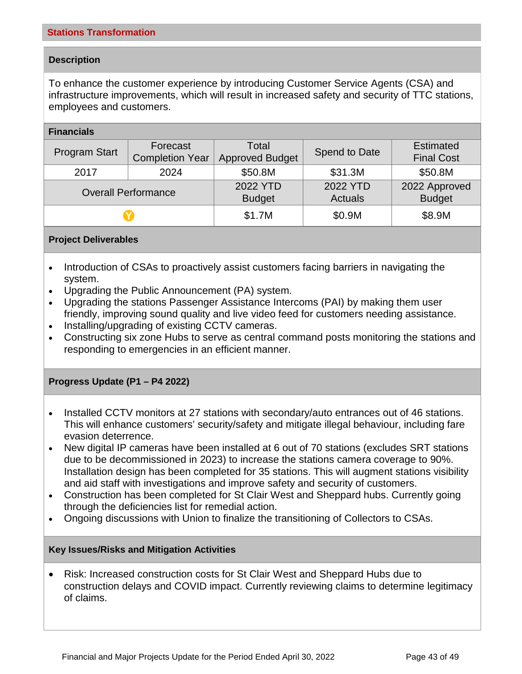To enhance the customer experience by introducing Customer Service Agents (CSA) and infrastructure improvements, which will result in increased safety and security of TTC stations, employees and customers.

| <b>Financials</b>          |                        |                        |                |                   |
|----------------------------|------------------------|------------------------|----------------|-------------------|
| <b>Program Start</b>       | Forecast               | Total                  | Spend to Date  | <b>Estimated</b>  |
|                            | <b>Completion Year</b> | <b>Approved Budget</b> |                | <b>Final Cost</b> |
| 2017                       | 2024                   | \$50.8M                | \$31.3M        | \$50.8M           |
| <b>Overall Performance</b> |                        | 2022 YTD               | 2022 YTD       | 2022 Approved     |
|                            |                        | <b>Budget</b>          | <b>Actuals</b> | <b>Budget</b>     |
| Y                          |                        | \$1.7M                 | \$0.9M         | \$8.9M            |

#### **Project Deliverables**

- Introduction of CSAs to proactively assist customers facing barriers in navigating the system.
- Upgrading the Public Announcement (PA) system.
- Upgrading the stations Passenger Assistance Intercoms (PAI) by making them user friendly, improving sound quality and live video feed for customers needing assistance.
- Installing/upgrading of existing CCTV cameras.
- Constructing six zone Hubs to serve as central command posts monitoring the stations and responding to emergencies in an efficient manner.

#### **Progress Update (P1 – P4 2022)**

- Installed CCTV monitors at 27 stations with secondary/auto entrances out of 46 stations. This will enhance customers' security/safety and mitigate illegal behaviour, including fare evasion deterrence.
- New digital IP cameras have been installed at 6 out of 70 stations (excludes SRT stations due to be decommissioned in 2023) to increase the stations camera coverage to 90%. Installation design has been completed for 35 stations. This will augment stations visibility and aid staff with investigations and improve safety and security of customers.
- Construction has been completed for St Clair West and Sheppard hubs. Currently going through the deficiencies list for remedial action.
- Ongoing discussions with Union to finalize the transitioning of Collectors to CSAs.

#### **Key Issues/Risks and Mitigation Activities**

• Risk: Increased construction costs for St Clair West and Sheppard Hubs due to construction delays and COVID impact. Currently reviewing claims to determine legitimacy of claims.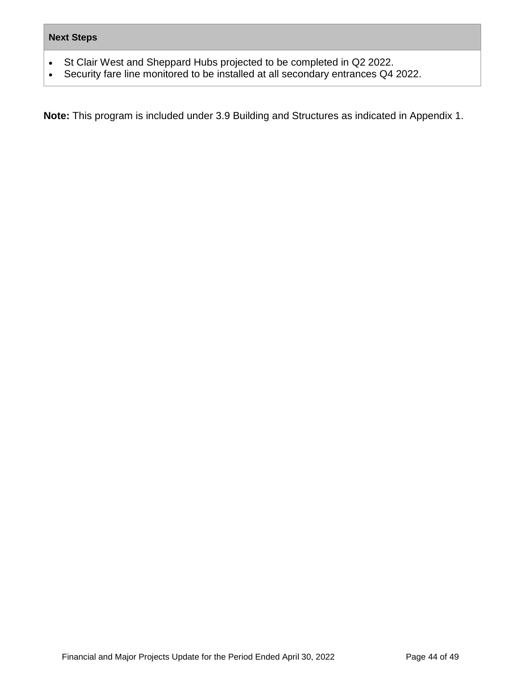### **Next Steps**

- St Clair West and Sheppard Hubs projected to be completed in Q2 2022.
- Security fare line monitored to be installed at all secondary entrances Q4 2022.

**Note:** This program is included under 3.9 Building and Structures as indicated in Appendix 1.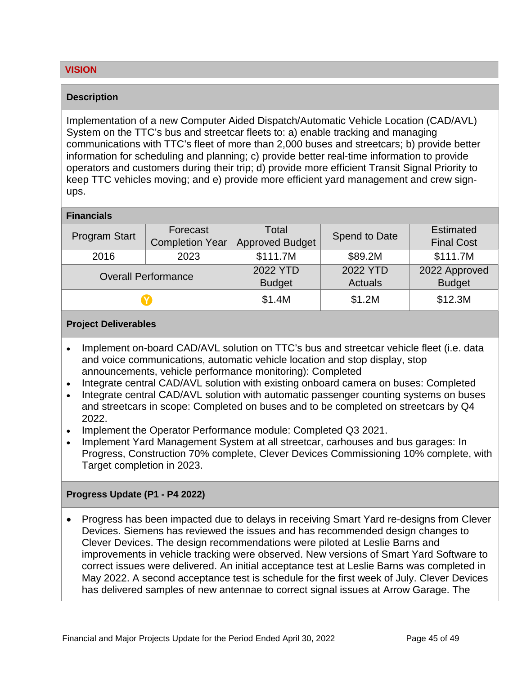Implementation of a new Computer Aided Dispatch/Automatic Vehicle Location (CAD/AVL) System on the TTC's bus and streetcar fleets to: a) enable tracking and managing communications with TTC's fleet of more than 2,000 buses and streetcars; b) provide better information for scheduling and planning; c) provide better real-time information to provide operators and customers during their trip; d) provide more efficient Transit Signal Priority to keep TTC vehicles moving; and e) provide more efficient yard management and crew signups.

#### **Financials**

| <b>Program Start</b>       | Forecast               | Total                  | Spend to Date  | <b>Estimated</b>  |
|----------------------------|------------------------|------------------------|----------------|-------------------|
|                            | <b>Completion Year</b> | <b>Approved Budget</b> |                | <b>Final Cost</b> |
| 2016                       | 2023                   | \$111.7M               | \$89.2M        | \$111.7M          |
| <b>Overall Performance</b> |                        | 2022 YTD               | 2022 YTD       | 2022 Approved     |
|                            |                        | <b>Budget</b>          | <b>Actuals</b> | <b>Budget</b>     |
| Y                          |                        | \$1.4M                 | \$1.2M         | \$12.3M           |
|                            |                        |                        |                |                   |

#### **Project Deliverables**

- Implement on-board CAD/AVL solution on TTC's bus and streetcar vehicle fleet (i.e. data and voice communications, automatic vehicle location and stop display, stop announcements, vehicle performance monitoring): Completed
- Integrate central CAD/AVL solution with existing onboard camera on buses: Completed
- Integrate central CAD/AVL solution with automatic passenger counting systems on buses and streetcars in scope: Completed on buses and to be completed on streetcars by Q4 2022.
- Implement the Operator Performance module: Completed Q3 2021.
- Implement Yard Management System at all streetcar, carhouses and bus garages: In Progress, Construction 70% complete, Clever Devices Commissioning 10% complete, with Target completion in 2023.

#### **Progress Update (P1 - P4 2022)**

• Progress has been impacted due to delays in receiving Smart Yard re-designs from Clever Devices. Siemens has reviewed the issues and has recommended design changes to Clever Devices. The design recommendations were piloted at Leslie Barns and improvements in vehicle tracking were observed. New versions of Smart Yard Software to correct issues were delivered. An initial acceptance test at Leslie Barns was completed in May 2022. A second acceptance test is schedule for the first week of July. Clever Devices has delivered samples of new antennae to correct signal issues at Arrow Garage. The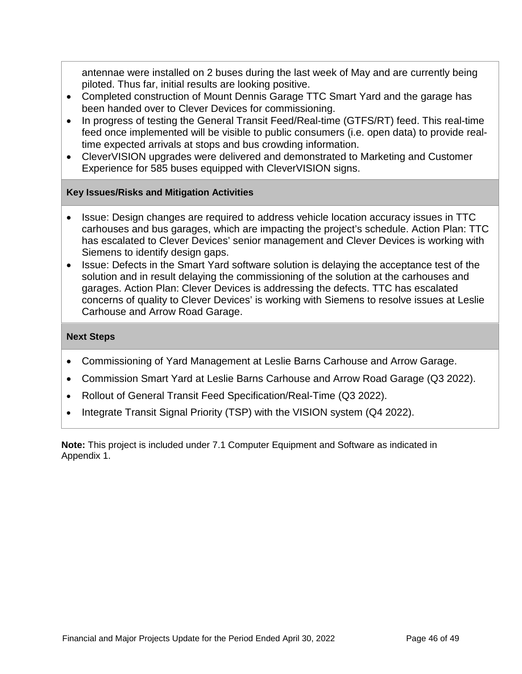antennae were installed on 2 buses during the last week of May and are currently being piloted. Thus far, initial results are looking positive.

- Completed construction of Mount Dennis Garage TTC Smart Yard and the garage has been handed over to Clever Devices for commissioning.
- In progress of testing the General Transit Feed/Real-time (GTFS/RT) feed. This real-time feed once implemented will be visible to public consumers (i.e. open data) to provide realtime expected arrivals at stops and bus crowding information.
- CleverVISION upgrades were delivered and demonstrated to Marketing and Customer Experience for 585 buses equipped with CleverVISION signs.

### **Key Issues/Risks and Mitigation Activities**

- Issue: Design changes are required to address vehicle location accuracy issues in TTC carhouses and bus garages, which are impacting the project's schedule. Action Plan: TTC has escalated to Clever Devices' senior management and Clever Devices is working with Siemens to identify design gaps.
- Issue: Defects in the Smart Yard software solution is delaying the acceptance test of the solution and in result delaying the commissioning of the solution at the carhouses and garages. Action Plan: Clever Devices is addressing the defects. TTC has escalated concerns of quality to Clever Devices' is working with Siemens to resolve issues at Leslie Carhouse and Arrow Road Garage.

#### **Next Steps**

- Commissioning of Yard Management at Leslie Barns Carhouse and Arrow Garage.
- Commission Smart Yard at Leslie Barns Carhouse and Arrow Road Garage (Q3 2022).
- Rollout of General Transit Feed Specification/Real-Time (Q3 2022).
- Integrate Transit Signal Priority (TSP) with the VISION system (Q4 2022).

**Note:** This project is included under 7.1 Computer Equipment and Software as indicated in Appendix 1.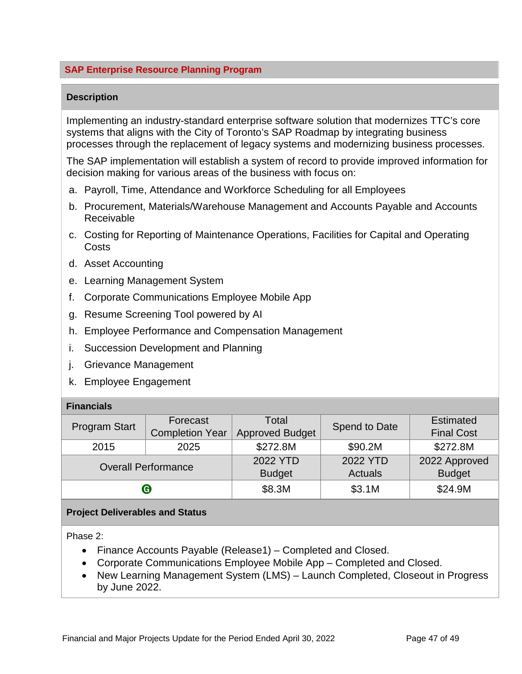#### **SAP Enterprise Resource Planning Program**

#### **Description**

Implementing an industry-standard enterprise software solution that modernizes TTC's core systems that aligns with the City of Toronto's SAP Roadmap by integrating business processes through the replacement of legacy systems and modernizing business processes.

The SAP implementation will establish a system of record to provide improved information for decision making for various areas of the business with focus on:

- a. Payroll, Time, Attendance and Workforce Scheduling for all Employees
- b. Procurement, Materials/Warehouse Management and Accounts Payable and Accounts Receivable
- c. Costing for Reporting of Maintenance Operations, Facilities for Capital and Operating **Costs**
- d. Asset Accounting
- e. Learning Management System
- f. Corporate Communications Employee Mobile App
- g. Resume Screening Tool powered by AI
- h. Employee Performance and Compensation Management
- i. Succession Development and Planning
- j. Grievance Management
- k. Employee Engagement

#### **Financials**

| <b>Program Start</b>       | Forecast               | Total                  | Spend to Date  | <b>Estimated</b>  |  |
|----------------------------|------------------------|------------------------|----------------|-------------------|--|
|                            | <b>Completion Year</b> | <b>Approved Budget</b> |                | <b>Final Cost</b> |  |
| 2015                       | 2025                   | \$272.8M               | \$90.2M        | \$272.8M          |  |
| <b>Overall Performance</b> |                        | 2022 YTD               | 2022 YTD       | 2022 Approved     |  |
|                            |                        | <b>Budget</b>          | <b>Actuals</b> | <b>Budget</b>     |  |
| ❻                          |                        | \$8.3M                 | \$3.1M         | \$24.9M           |  |

#### **Project Deliverables and Status**

Phase 2:

- Finance Accounts Payable (Release1) Completed and Closed.
- Corporate Communications Employee Mobile App Completed and Closed.
- New Learning Management System (LMS) Launch Completed, Closeout in Progress by June 2022.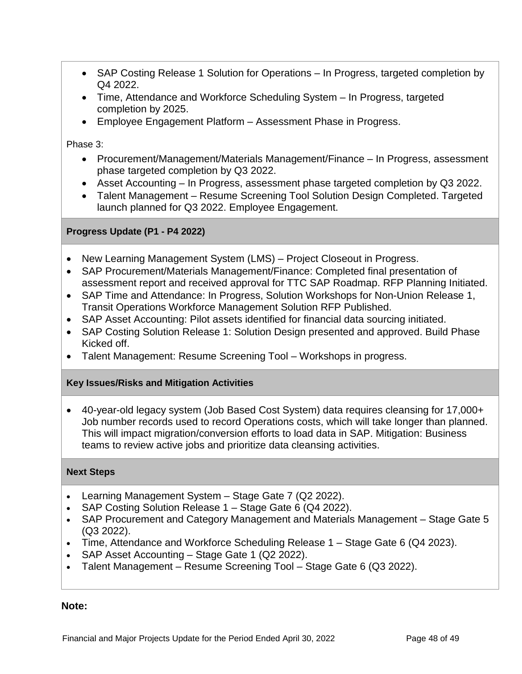- SAP Costing Release 1 Solution for Operations In Progress, targeted completion by Q4 2022.
- Time, Attendance and Workforce Scheduling System In Progress, targeted completion by 2025.
- Employee Engagement Platform Assessment Phase in Progress.

Phase 3:

- Procurement/Management/Materials Management/Finance In Progress, assessment phase targeted completion by Q3 2022.
- Asset Accounting In Progress, assessment phase targeted completion by Q3 2022.
- Talent Management Resume Screening Tool Solution Design Completed. Targeted launch planned for Q3 2022. Employee Engagement.

### **Progress Update (P1 - P4 2022)**

- New Learning Management System (LMS) Project Closeout in Progress.
- SAP Procurement/Materials Management/Finance: Completed final presentation of assessment report and received approval for TTC SAP Roadmap. RFP Planning Initiated.
- SAP Time and Attendance: In Progress, Solution Workshops for Non-Union Release 1, Transit Operations Workforce Management Solution RFP Published.
- SAP Asset Accounting: Pilot assets identified for financial data sourcing initiated.
- SAP Costing Solution Release 1: Solution Design presented and approved. Build Phase Kicked off.
- Talent Management: Resume Screening Tool Workshops in progress.

#### **Key Issues/Risks and Mitigation Activities**

• 40-year-old legacy system (Job Based Cost System) data requires cleansing for 17,000+ Job number records used to record Operations costs, which will take longer than planned. This will impact migration/conversion efforts to load data in SAP. Mitigation: Business teams to review active jobs and prioritize data cleansing activities.

#### **Next Steps**

- Learning Management System Stage Gate 7 (Q2 2022).
- SAP Costing Solution Release 1 Stage Gate 6 (Q4 2022).
- SAP Procurement and Category Management and Materials Management Stage Gate 5 (Q3 2022).
- Time, Attendance and Workforce Scheduling Release 1 Stage Gate 6 (Q4 2023).
- SAP Asset Accounting Stage Gate 1 (Q2 2022).
- Talent Management Resume Screening Tool Stage Gate 6 (Q3 2022).

#### **Note:**